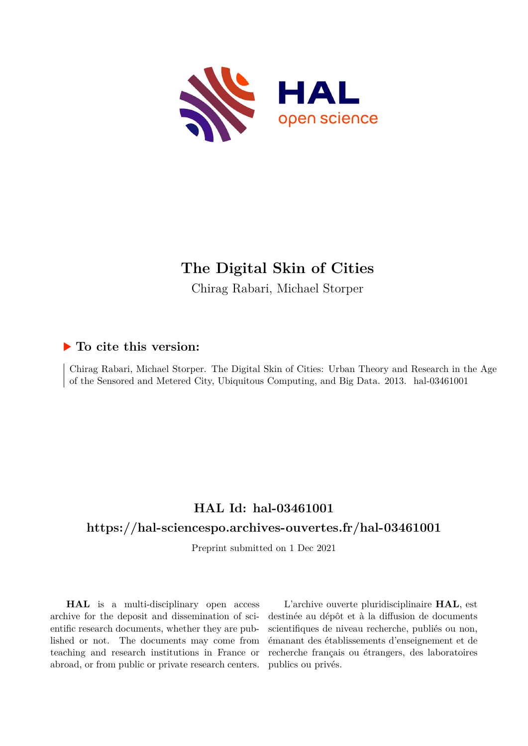

# **The Digital Skin of Cities**

Chirag Rabari, Michael Storper

## **To cite this version:**

Chirag Rabari, Michael Storper. The Digital Skin of Cities: Urban Theory and Research in the Age of the Sensored and Metered City, Ubiquitous Computing, and Big Data. 2013. hal-03461001

## **HAL Id: hal-03461001**

## **<https://hal-sciencespo.archives-ouvertes.fr/hal-03461001>**

Preprint submitted on 1 Dec 2021

**HAL** is a multi-disciplinary open access archive for the deposit and dissemination of scientific research documents, whether they are published or not. The documents may come from teaching and research institutions in France or abroad, or from public or private research centers.

L'archive ouverte pluridisciplinaire **HAL**, est destinée au dépôt et à la diffusion de documents scientifiques de niveau recherche, publiés ou non, émanant des établissements d'enseignement et de recherche français ou étrangers, des laboratoires publics ou privés.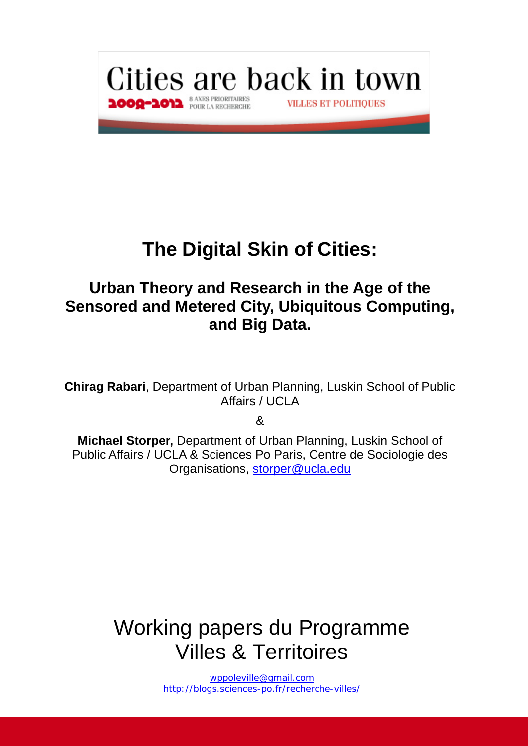

# **The Digital Skin of Cities:**

# **Urban Theory and Research in the Age of the Sensored and Metered City, Ubiquitous Computing, and Big Data.**

**Chirag Rabari**, Department of Urban Planning, Luskin School of Public Affairs / UCLA

&

**Michael Storper,** Department of Urban Planning, Luskin School of Public Affairs / UCLA & Sciences Po Paris, Centre de Sociologie des Organisations, storper@ucla.edu

# Working papers du Programme Villes & Territoires

wppoleville@gmail.com http://blogs.sciences-po.fr/recherche-villes/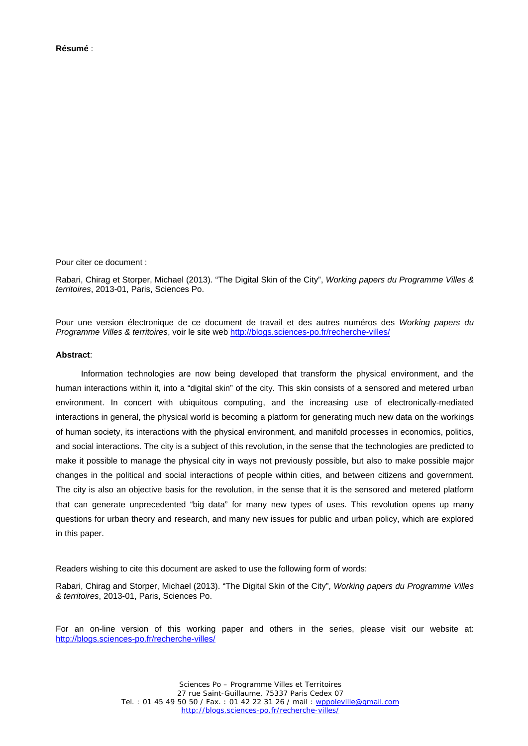Pour citer ce document :

Rabari, Chirag et Storper, Michael (2013). "The Digital Skin of the City", *Working papers du Programme Villes & territoires*, 2013-01, Paris, Sciences Po.

Pour une version électronique de ce document de travail et des autres numéros des *Working papers du Programme Villes & territoires*, voir le site web http://blogs.sciences-po.fr/recherche-villes/

#### **Abstract**:

Information technologies are now being developed that transform the physical environment, and the human interactions within it, into a "digital skin" of the city. This skin consists of a sensored and metered urban environment. In concert with ubiquitous computing, and the increasing use of electronically-mediated interactions in general, the physical world is becoming a platform for generating much new data on the workings of human society, its interactions with the physical environment, and manifold processes in economics, politics, and social interactions. The city is a subject of this revolution, in the sense that the technologies are predicted to make it possible to manage the physical city in ways not previously possible, but also to make possible major changes in the political and social interactions of people within cities, and between citizens and government. The city is also an objective basis for the revolution, in the sense that it is the sensored and metered platform that can generate unprecedented "big data" for many new types of uses. This revolution opens up many questions for urban theory and research, and many new issues for public and urban policy, which are explored in this paper.

Readers wishing to cite this document are asked to use the following form of words:

Rabari, Chirag and Storper, Michael (2013). "The Digital Skin of the City", *Working papers du Programme Villes & territoires*, 2013-01, Paris, Sciences Po.

For an on-line version of this working paper and others in the series, please visit our website at: http://blogs.sciences-po.fr/recherche-villes/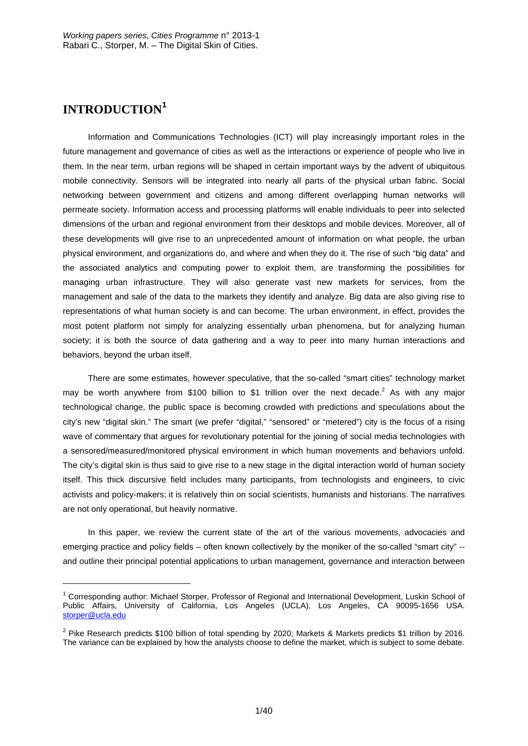## **INTRODUCTION<sup>1</sup>**

-

Information and Communications Technologies (ICT) will play increasingly important roles in the future management and governance of cities as well as the interactions or experience of people who live in them. In the near term, urban regions will be shaped in certain important ways by the advent of ubiquitous mobile connectivity. Sensors will be integrated into nearly all parts of the physical urban fabric. Social networking between government and citizens and among different overlapping human networks will permeate society. Information access and processing platforms will enable individuals to peer into selected dimensions of the urban and regional environment from their desktops and mobile devices. Moreover, all of these developments will give rise to an unprecedented amount of information on what people, the urban physical environment, and organizations do, and where and when they do it. The rise of such "big data" and the associated analytics and computing power to exploit them, are transforming the possibilities for managing urban infrastructure. They will also generate vast new markets for services, from the management and sale of the data to the markets they identify and analyze. Big data are also giving rise to representations of what human society is and can become. The urban environment, in effect, provides the most potent platform not simply for analyzing essentially urban phenomena, but for analyzing human society; it is both the source of data gathering and a way to peer into many human interactions and behaviors, beyond the urban itself.

There are some estimates, however speculative, that the so-called "smart cities" technology market may be worth anywhere from \$100 billion to \$1 trillion over the next decade.<sup>2</sup> As with any major technological change, the public space is becoming crowded with predictions and speculations about the city's new "digital skin." The smart (we prefer "digital," "sensored" or "metered") city is the focus of a rising wave of commentary that argues for revolutionary potential for the joining of social media technologies with a sensored/measured/monitored physical environment in which human movements and behaviors unfold. The city's digital skin is thus said to give rise to a new stage in the digital interaction world of human society itself. This thick discursive field includes many participants, from technologists and engineers, to civic activists and policy-makers; it is relatively thin on social scientists, humanists and historians. The narratives are not only operational, but heavily normative.

In this paper, we review the current state of the art of the various movements, advocacies and emerging practice and policy fields – often known collectively by the moniker of the so-called "smart city" - and outline their principal potential applications to urban management, governance and interaction between

<sup>&</sup>lt;sup>1</sup> Corresponding author: Michael Storper, Professor of Regional and International Development, Luskin School of Public Affairs, University of California, Los Angeles (UCLA), Los Angeles, CA 90095-1656 USA. storper@ucla.edu

<sup>&</sup>lt;sup>2</sup> Pike Research predicts \$100 billion of total spending by 2020; Markets & Markets predicts \$1 trillion by 2016. The variance can be explained by how the analysts choose to define the market, which is subject to some debate.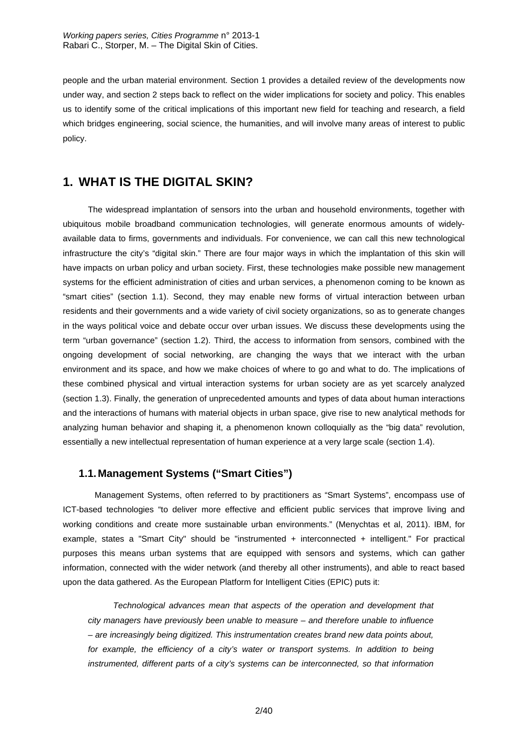people and the urban material environment. Section 1 provides a detailed review of the developments now under way, and section 2 steps back to reflect on the wider implications for society and policy. This enables us to identify some of the critical implications of this important new field for teaching and research, a field which bridges engineering, social science, the humanities, and will involve many areas of interest to public policy.

## **1. WHAT IS THE DIGITAL SKIN?**

The widespread implantation of sensors into the urban and household environments, together with ubiquitous mobile broadband communication technologies, will generate enormous amounts of widelyavailable data to firms, governments and individuals. For convenience, we can call this new technological infrastructure the city's "digital skin." There are four major ways in which the implantation of this skin will have impacts on urban policy and urban society. First, these technologies make possible new management systems for the efficient administration of cities and urban services, a phenomenon coming to be known as "smart cities" (section 1.1). Second, they may enable new forms of virtual interaction between urban residents and their governments and a wide variety of civil society organizations, so as to generate changes in the ways political voice and debate occur over urban issues. We discuss these developments using the term "urban governance" (section 1.2). Third, the access to information from sensors, combined with the ongoing development of social networking, are changing the ways that we interact with the urban environment and its space, and how we make choices of where to go and what to do. The implications of these combined physical and virtual interaction systems for urban society are as yet scarcely analyzed (section 1.3). Finally, the generation of unprecedented amounts and types of data about human interactions and the interactions of humans with material objects in urban space, give rise to new analytical methods for analyzing human behavior and shaping it, a phenomenon known colloquially as the "big data" revolution, essentially a new intellectual representation of human experience at a very large scale (section 1.4).

## **1.1. Management Systems ("Smart Cities")**

Management Systems, often referred to by practitioners as "Smart Systems", encompass use of ICT-based technologies "to deliver more effective and efficient public services that improve living and working conditions and create more sustainable urban environments." (Menychtas et al, 2011). IBM, for example, states a "Smart City" should be "instrumented + interconnected + intelligent." For practical purposes this means urban systems that are equipped with sensors and systems, which can gather information, connected with the wider network (and thereby all other instruments), and able to react based upon the data gathered. As the European Platform for Intelligent Cities (EPIC) puts it:

*Technological advances mean that aspects of the operation and development that city managers have previously been unable to measure – and therefore unable to influence – are increasingly being digitized. This instrumentation creates brand new data points about,*  for example, the efficiency of a city's water or transport systems. In addition to being *instrumented, different parts of a city's systems can be interconnected, so that information*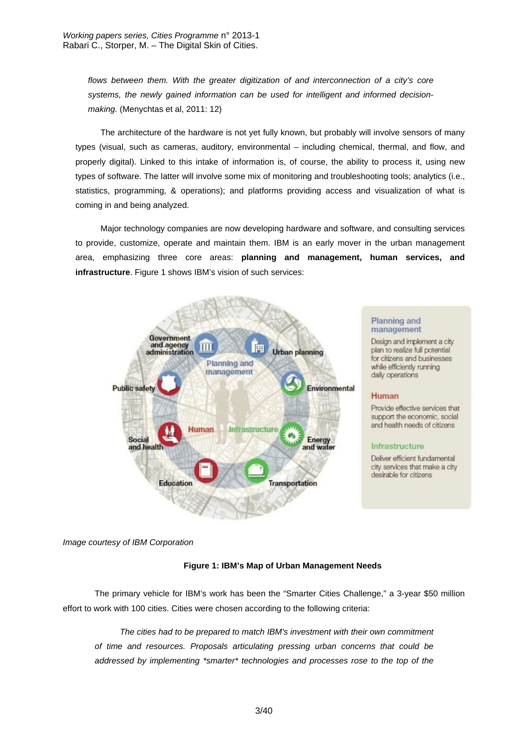*flows between them. With the greater digitization of and interconnection of a city's core systems, the newly gained information can be used for intelligent and informed decisionmaking.* (Menychtas et al, 2011: 12)

The architecture of the hardware is not yet fully known, but probably will involve sensors of many types (visual, such as cameras, auditory, environmental – including chemical, thermal, and flow, and properly digital). Linked to this intake of information is, of course, the ability to process it, using new types of software. The latter will involve some mix of monitoring and troubleshooting tools; analytics (i.e., statistics, programming, & operations); and platforms providing access and visualization of what is coming in and being analyzed.

Major technology companies are now developing hardware and software, and consulting services to provide, customize, operate and maintain them. IBM is an early mover in the urban management area, emphasizing three core areas: **planning and management, human services, and infrastructure**. Figure 1 shows IBM's vision of such services:



#### Planning and management

Design and implement a city plan to realize full potential for citizens and businesses while efficiently running daily operations

#### Human

Provide effective services that support the economic, social and health needs of citizens

#### Infrastructure

Deliver efficient fundamental city services that make a city desirable for citizens

*Image courtesy of IBM Corporation*

#### **Figure 1: IBM's Map of Urban Management Needs**

The primary vehicle for IBM's work has been the "Smarter Cities Challenge," a 3-year \$50 million effort to work with 100 cities. Cities were chosen according to the following criteria:

*The cities had to be prepared to match IBM's investment with their own commitment of time and resources. Proposals articulating pressing urban concerns that could be addressed by implementing \*smarter\* technologies and processes rose to the top of the*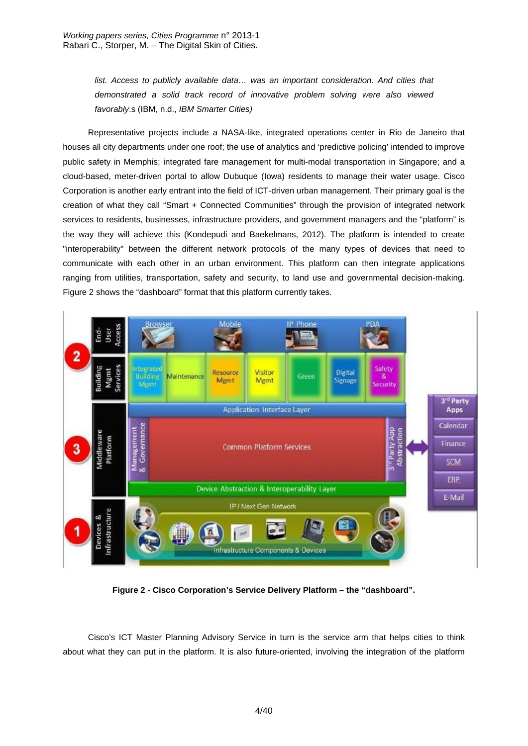list. Access to publicly available data... was an important consideration. And cities that *demonstrated a solid track record of innovative problem solving were also viewed favorably*.s (IBM, n.d., *IBM Smarter Cities)*

Representative projects include a NASA-like, integrated operations center in Rio de Janeiro that houses all city departments under one roof; the use of analytics and 'predictive policing' intended to improve public safety in Memphis; integrated fare management for multi-modal transportation in Singapore; and a cloud-based, meter-driven portal to allow Dubuque (Iowa) residents to manage their water usage. Cisco Corporation is another early entrant into the field of ICT-driven urban management. Their primary goal is the creation of what they call "Smart + Connected Communities" through the provision of integrated network services to residents, businesses, infrastructure providers, and government managers and the "platform" is the way they will achieve this (Kondepudi and Baekelmans, 2012). The platform is intended to create "interoperability" between the different network protocols of the many types of devices that need to communicate with each other in an urban environment. This platform can then integrate applications ranging from utilities, transportation, safety and security, to land use and governmental decision-making. Figure 2 shows the "dashboard" format that this platform currently takes.



**Figure 2 - Cisco Corporation's Service Delivery Platform – the "dashboard".** 

Cisco's ICT Master Planning Advisory Service in turn is the service arm that helps cities to think about what they can put in the platform. It is also future-oriented, involving the integration of the platform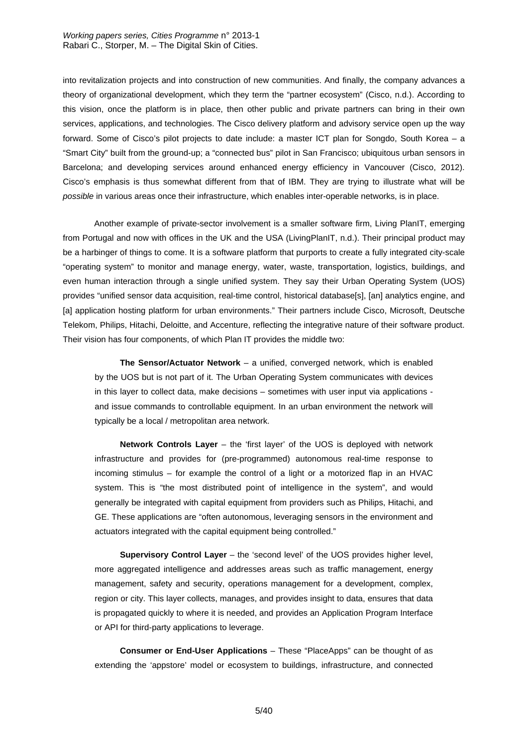into revitalization projects and into construction of new communities. And finally, the company advances a theory of organizational development, which they term the "partner ecosystem" (Cisco, n.d.). According to this vision, once the platform is in place, then other public and private partners can bring in their own services, applications, and technologies. The Cisco delivery platform and advisory service open up the way forward. Some of Cisco's pilot projects to date include: a master ICT plan for Songdo, South Korea – a "Smart City" built from the ground-up; a "connected bus" pilot in San Francisco; ubiquitous urban sensors in Barcelona; and developing services around enhanced energy efficiency in Vancouver (Cisco, 2012). Cisco's emphasis is thus somewhat different from that of IBM. They are trying to illustrate what will be *possible* in various areas once their infrastructure, which enables inter-operable networks, is in place.

 Another example of private-sector involvement is a smaller software firm, Living PlanIT, emerging from Portugal and now with offices in the UK and the USA (LivingPlanIT, n.d.). Their principal product may be a harbinger of things to come. It is a software platform that purports to create a fully integrated city-scale "operating system" to monitor and manage energy, water, waste, transportation, logistics, buildings, and even human interaction through a single unified system. They say their Urban Operating System (UOS) provides "unified sensor data acquisition, real-time control, historical database[s], [an] analytics engine, and [a] application hosting platform for urban environments." Their partners include Cisco, Microsoft, Deutsche Telekom, Philips, Hitachi, Deloitte, and Accenture, reflecting the integrative nature of their software product. Their vision has four components, of which Plan IT provides the middle two:

**The Sensor/Actuator Network** – a unified, converged network, which is enabled by the UOS but is not part of it. The Urban Operating System communicates with devices in this layer to collect data, make decisions – sometimes with user input via applications and issue commands to controllable equipment. In an urban environment the network will typically be a local / metropolitan area network.

**Network Controls Layer** – the 'first layer' of the UOS is deployed with network infrastructure and provides for (pre-programmed) autonomous real-time response to incoming stimulus – for example the control of a light or a motorized flap in an HVAC system. This is "the most distributed point of intelligence in the system", and would generally be integrated with capital equipment from providers such as Philips, Hitachi, and GE. These applications are "often autonomous, leveraging sensors in the environment and actuators integrated with the capital equipment being controlled."

**Supervisory Control Layer** – the 'second level' of the UOS provides higher level, more aggregated intelligence and addresses areas such as traffic management, energy management, safety and security, operations management for a development, complex, region or city. This layer collects, manages, and provides insight to data, ensures that data is propagated quickly to where it is needed, and provides an Application Program Interface or API for third-party applications to leverage.

**Consumer or End-User Applications** – These "PlaceApps" can be thought of as extending the 'appstore' model or ecosystem to buildings, infrastructure, and connected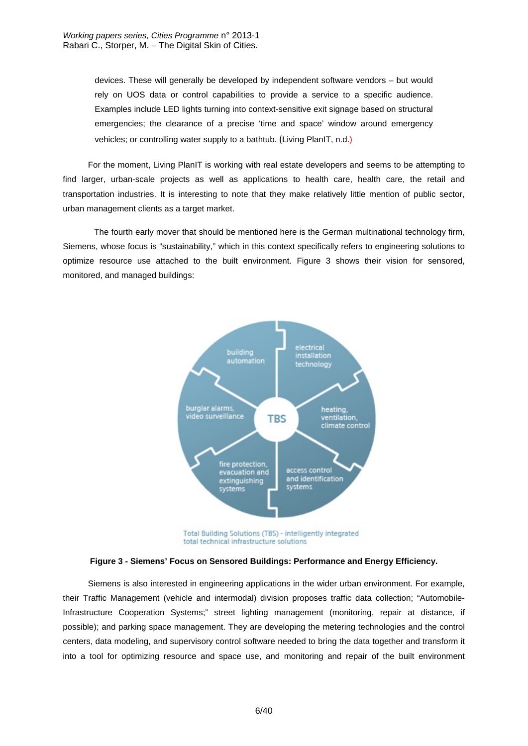devices. These will generally be developed by independent software vendors – but would rely on UOS data or control capabilities to provide a service to a specific audience. Examples include LED lights turning into context-sensitive exit signage based on structural emergencies; the clearance of a precise 'time and space' window around emergency vehicles; or controlling water supply to a bathtub. (Living PlanIT, n.d.)

For the moment, Living PlanIT is working with real estate developers and seems to be attempting to find larger, urban-scale projects as well as applications to health care, health care, the retail and transportation industries. It is interesting to note that they make relatively little mention of public sector, urban management clients as a target market.

 The fourth early mover that should be mentioned here is the German multinational technology firm, Siemens, whose focus is "sustainability," which in this context specifically refers to engineering solutions to optimize resource use attached to the built environment. Figure 3 shows their vision for sensored, monitored, and managed buildings:



Total Building Solutions (TBS) - intelligently integrated total technical infrastructure solutions

Siemens is also interested in engineering applications in the wider urban environment. For example, their Traffic Management (vehicle and intermodal) division proposes traffic data collection; "Automobile-Infrastructure Cooperation Systems;" street lighting management (monitoring, repair at distance, if possible); and parking space management. They are developing the metering technologies and the control centers, data modeling, and supervisory control software needed to bring the data together and transform it into a tool for optimizing resource and space use, and monitoring and repair of the built environment

**Figure 3 - Siemens' Focus on Sensored Buildings: Performance and Energy Efficiency.**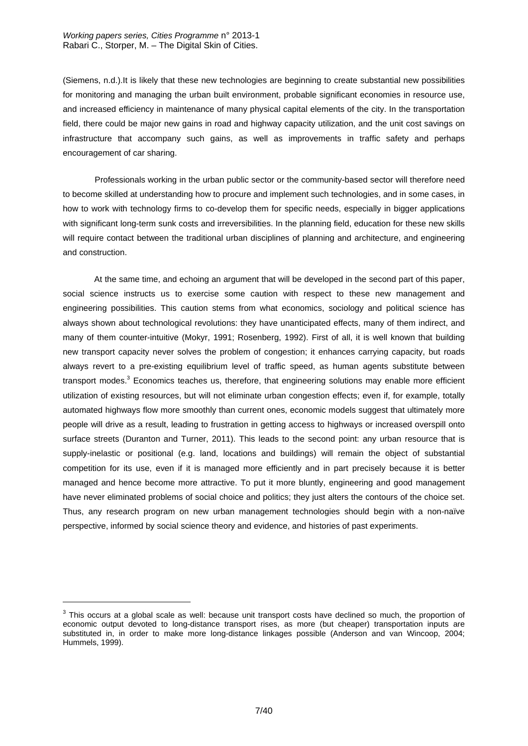(Siemens, n.d.).It is likely that these new technologies are beginning to create substantial new possibilities for monitoring and managing the urban built environment, probable significant economies in resource use, and increased efficiency in maintenance of many physical capital elements of the city. In the transportation field, there could be major new gains in road and highway capacity utilization, and the unit cost savings on infrastructure that accompany such gains, as well as improvements in traffic safety and perhaps encouragement of car sharing.

Professionals working in the urban public sector or the community-based sector will therefore need to become skilled at understanding how to procure and implement such technologies, and in some cases, in how to work with technology firms to co-develop them for specific needs, especially in bigger applications with significant long-term sunk costs and irreversibilities. In the planning field, education for these new skills will require contact between the traditional urban disciplines of planning and architecture, and engineering and construction.

 At the same time, and echoing an argument that will be developed in the second part of this paper, social science instructs us to exercise some caution with respect to these new management and engineering possibilities. This caution stems from what economics, sociology and political science has always shown about technological revolutions: they have unanticipated effects, many of them indirect, and many of them counter-intuitive (Mokyr, 1991; Rosenberg, 1992). First of all, it is well known that building new transport capacity never solves the problem of congestion; it enhances carrying capacity, but roads always revert to a pre-existing equilibrium level of traffic speed, as human agents substitute between transport modes.<sup>3</sup> Economics teaches us, therefore, that engineering solutions may enable more efficient utilization of existing resources, but will not eliminate urban congestion effects; even if, for example, totally automated highways flow more smoothly than current ones, economic models suggest that ultimately more people will drive as a result, leading to frustration in getting access to highways or increased overspill onto surface streets (Duranton and Turner, 2011). This leads to the second point: any urban resource that is supply-inelastic or positional (e.g. land, locations and buildings) will remain the object of substantial competition for its use, even if it is managed more efficiently and in part precisely because it is better managed and hence become more attractive. To put it more bluntly, engineering and good management have never eliminated problems of social choice and politics; they just alters the contours of the choice set. Thus, any research program on new urban management technologies should begin with a non-naïve perspective, informed by social science theory and evidence, and histories of past experiments.

-

 $3$  This occurs at a global scale as well: because unit transport costs have declined so much, the proportion of economic output devoted to long-distance transport rises, as more (but cheaper) transportation inputs are substituted in, in order to make more long-distance linkages possible (Anderson and van Wincoop, 2004; Hummels, 1999).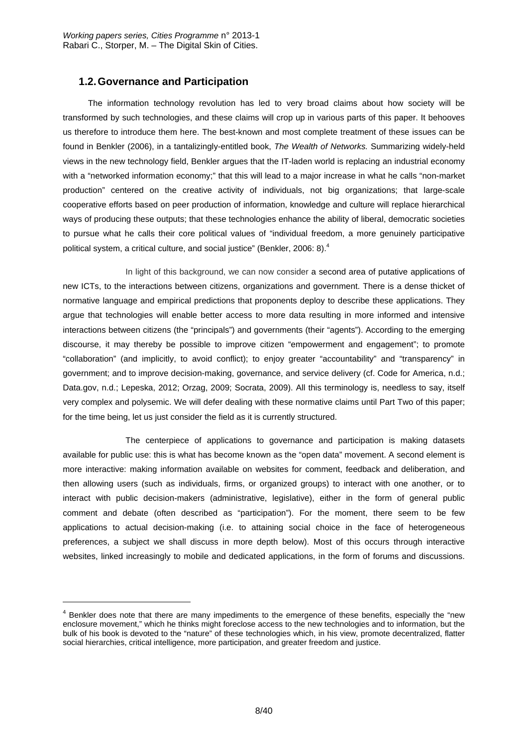## **1.2. Governance and Participation**

-

The information technology revolution has led to very broad claims about how society will be transformed by such technologies, and these claims will crop up in various parts of this paper. It behooves us therefore to introduce them here. The best-known and most complete treatment of these issues can be found in Benkler (2006), in a tantalizingly-entitled book, *The Wealth of Networks.* Summarizing widely-held views in the new technology field, Benkler argues that the IT-laden world is replacing an industrial economy with a "networked information economy;" that this will lead to a major increase in what he calls "non-market production" centered on the creative activity of individuals, not big organizations; that large-scale cooperative efforts based on peer production of information, knowledge and culture will replace hierarchical ways of producing these outputs; that these technologies enhance the ability of liberal, democratic societies to pursue what he calls their core political values of "individual freedom, a more genuinely participative political system, a critical culture, and social justice" (Benkler, 2006: 8).<sup>4</sup>

 In light of this background, we can now consider a second area of putative applications of new ICTs, to the interactions between citizens, organizations and government. There is a dense thicket of normative language and empirical predictions that proponents deploy to describe these applications. They argue that technologies will enable better access to more data resulting in more informed and intensive interactions between citizens (the "principals") and governments (their "agents"). According to the emerging discourse, it may thereby be possible to improve citizen "empowerment and engagement"; to promote "collaboration" (and implicitly, to avoid conflict); to enjoy greater "accountability" and "transparency" in government; and to improve decision-making, governance, and service delivery (cf. Code for America, n.d.; Data.gov, n.d.; Lepeska, 2012; Orzag, 2009; Socrata, 2009). All this terminology is, needless to say, itself very complex and polysemic. We will defer dealing with these normative claims until Part Two of this paper; for the time being, let us just consider the field as it is currently structured.

 The centerpiece of applications to governance and participation is making datasets available for public use: this is what has become known as the "open data" movement. A second element is more interactive: making information available on websites for comment, feedback and deliberation, and then allowing users (such as individuals, firms, or organized groups) to interact with one another, or to interact with public decision-makers (administrative, legislative), either in the form of general public comment and debate (often described as "participation"). For the moment, there seem to be few applications to actual decision-making (i.e. to attaining social choice in the face of heterogeneous preferences, a subject we shall discuss in more depth below). Most of this occurs through interactive websites, linked increasingly to mobile and dedicated applications, in the form of forums and discussions.

 $4$  Benkler does note that there are many impediments to the emergence of these benefits, especially the "new enclosure movement," which he thinks might foreclose access to the new technologies and to information, but the bulk of his book is devoted to the "nature" of these technologies which, in his view, promote decentralized, flatter social hierarchies, critical intelligence, more participation, and greater freedom and justice.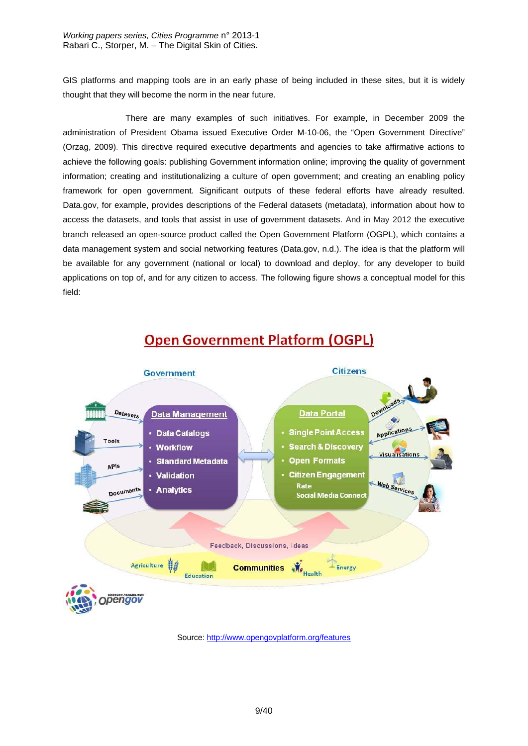*Working papers series, Cities Programme* n° 2013-1 Rabari C., Storper, M. – The Digital Skin of Cities.

GIS platforms and mapping tools are in an early phase of being included in these sites, but it is widely thought that they will become the norm in the near future.

 There are many examples of such initiatives. For example, in December 2009 the administration of President Obama issued Executive Order M-10-06, the "Open Government Directive" (Orzag, 2009). This directive required executive departments and agencies to take affirmative actions to achieve the following goals: publishing Government information online; improving the quality of government information; creating and institutionalizing a culture of open government; and creating an enabling policy framework for open government. Significant outputs of these federal efforts have already resulted. Data.gov, for example, provides descriptions of the Federal datasets (metadata), information about how to access the datasets, and tools that assist in use of government datasets. And in May 2012 the executive branch released an open-source product called the Open Government Platform (OGPL), which contains a data management system and social networking features (Data.gov, n.d.). The idea is that the platform will be available for any government (national or local) to download and deploy, for any developer to build applications on top of, and for any citizen to access. The following figure shows a conceptual model for this field:

## **Open Government Platform (OGPL)**



Source: http://www.opengovplatform.org/features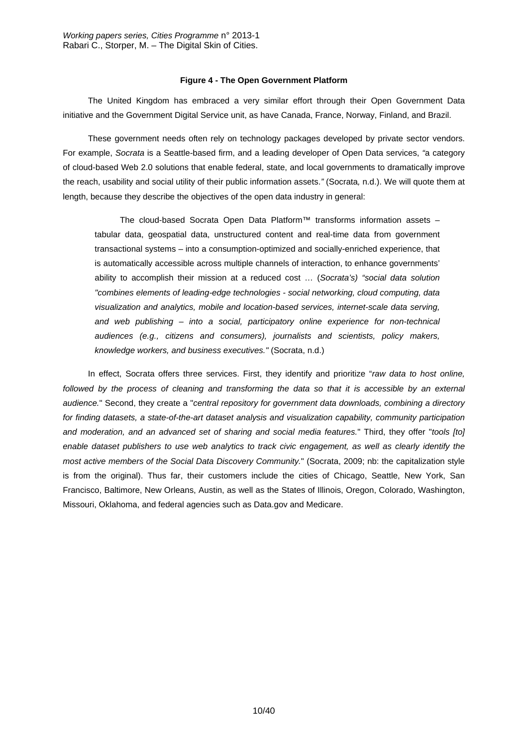#### **Figure 4 - The Open Government Platform**

The United Kingdom has embraced a very similar effort through their Open Government Data initiative and the Government Digital Service unit, as have Canada, France, Norway, Finland, and Brazil.

These government needs often rely on technology packages developed by private sector vendors. For example, *Socrata* is a Seattle-based firm, and a leading developer of Open Data services, *"*a category of cloud-based Web 2.0 solutions that enable federal, state, and local governments to dramatically improve the reach, usability and social utility of their public information assets.*"* (Socrata*,* n.d.). We will quote them at length, because they describe the objectives of the open data industry in general:

The cloud-based Socrata Open Data Platform™ transforms information assets – tabular data, geospatial data, unstructured content and real-time data from government transactional systems – into a consumption-optimized and socially-enriched experience, that is automatically accessible across multiple channels of interaction, to enhance governments' ability to accomplish their mission at a reduced cost … (*Socrata's) "social data solution "combines elements of leading-edge technologies - social networking, cloud computing, data visualization and analytics, mobile and location-based services, internet-scale data serving, and web publishing – into a social, participatory online experience for non-technical audiences (e.g., citizens and consumers), journalists and scientists, policy makers, knowledge workers, and business executives."* (Socrata, n.d.)

In effect, Socrata offers three services. First, they identify and prioritize "*raw data to host online,*  followed by the process of cleaning and transforming the data so that it is accessible by an external *audience.*" Second, they create a "*central repository for government data downloads, combining a directory for finding datasets, a state-of-the-art dataset analysis and visualization capability, community participation and moderation, and an advanced set of sharing and social media features.*" Third, they offer "*tools [to] enable dataset publishers to use web analytics to track civic engagement, as well as clearly identify the most active members of the Social Data Discovery Community.*" (Socrata, 2009; nb: the capitalization style is from the original). Thus far, their customers include the cities of Chicago, Seattle, New York, San Francisco, Baltimore, New Orleans, Austin, as well as the States of Illinois, Oregon, Colorado, Washington, Missouri, Oklahoma, and federal agencies such as Data.gov and Medicare.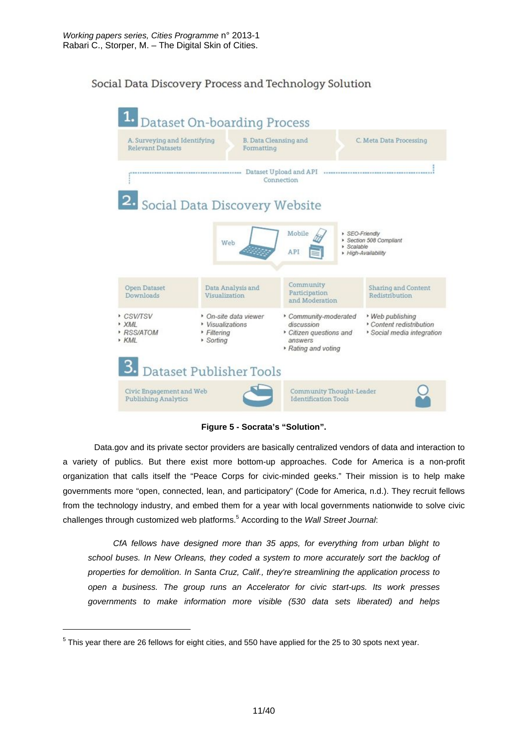## Social Data Discovery Process and Technology Solution



**Figure 5 - Socrata's "Solution".**

 Data.gov and its private sector providers are basically centralized vendors of data and interaction to a variety of publics. But there exist more bottom-up approaches. Code for America is a non-profit organization that calls itself the "Peace Corps for civic-minded geeks." Their mission is to help make governments more "open, connected, lean, and participatory" (Code for America, n.d.). They recruit fellows from the technology industry, and embed them for a year with local governments nationwide to solve civic challenges through customized web platforms.<sup>5</sup> According to the *Wall Street Journal*:

*CfA fellows have designed more than 35 apps, for everything from urban blight to*  school buses. In New Orleans, they coded a system to more accurately sort the backlog of *properties for demolition. In Santa Cruz, Calif., they're streamlining the application process to open a business. The group runs an Accelerator for civic start-ups. Its work presses governments to make information more visible (530 data sets liberated) and helps* 

-

 $5$  This year there are 26 fellows for eight cities, and 550 have applied for the 25 to 30 spots next year.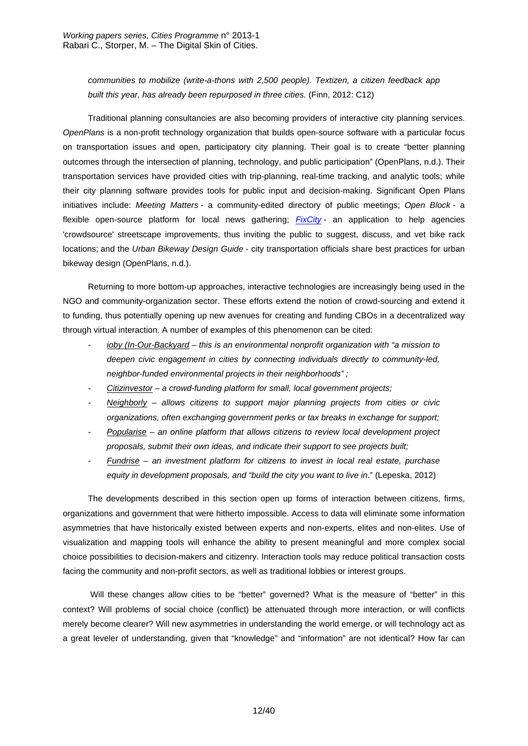*communities to mobilize (write-a-thons with 2,500 people). Textizen, a citizen feedback app built this year, has already been repurposed in three cities.* (Finn, 2012: C12)

Traditional planning consultancies are also becoming providers of interactive city planning services. *OpenPlans* is a non-profit technology organization that builds open-source software with a particular focus on transportation issues and open, participatory city planning. Their goal is to create "better planning outcomes through the intersection of planning, technology, and public participation" (OpenPlans, n.d.). Their transportation services have provided cities with trip-planning, real-time tracking, and analytic tools; while their city planning software provides tools for public input and decision-making. Significant Open Plans initiatives include: *Meeting Matters* - a community-edited directory of public meetings; *Open Block* - a flexible open-source platform for local news gathering; *FixCity* - an application to help agencies 'crowdsource' streetscape improvements, thus inviting the public to suggest, discuss, and vet bike rack locations; and the *Urban Bikeway Design Guide* - city transportation officials share best practices for urban bikeway design (OpenPlans, n.d.).

Returning to more bottom-up approaches, interactive technologies are increasingly being used in the NGO and community-organization sector. These efforts extend the notion of crowd-sourcing and extend it to funding, thus potentially opening up new avenues for creating and funding CBOs in a decentralized way through virtual interaction. A number of examples of this phenomenon can be cited:

- *ioby (In-Our-Backyard this is an environmental nonprofit organization with "a mission to deepen civic engagement in cities by connecting individuals directly to community-led, neighbor-funded environmental projects in their neighborhoods" ;*
- *Citizinvestor a crowd-funding platform for small, local government projects;*
- *Neighborly allows citizens to support major planning projects from cities or civic organizations, often exchanging government perks or tax breaks in exchange for support;*
- *Popularise an online platform that allows citizens to review local development project proposals, submit their own ideas, and indicate their support to see projects built;*
- *Fundrise an investment platform for citizens to invest in local real estate, purchase equity in development proposals, and "build the city you want to live in*." (Lepeska, 2012)

The developments described in this section open up forms of interaction between citizens, firms, organizations and government that were hitherto impossible. Access to data will eliminate some information asymmetries that have historically existed between experts and non-experts, elites and non-elites. Use of visualization and mapping tools will enhance the ability to present meaningful and more complex social choice possibilities to decision-makers and citizenry. Interaction tools may reduce political transaction costs facing the community and non-profit sectors, as well as traditional lobbies or interest groups.

 Will these changes allow cities to be "better" governed? What is the measure of "better" in this context? Will problems of social choice (conflict) be attenuated through more interaction, or will conflicts merely become clearer? Will new asymmetries in understanding the world emerge, or will technology act as a great leveler of understanding, given that "knowledge" and "information" are not identical? How far can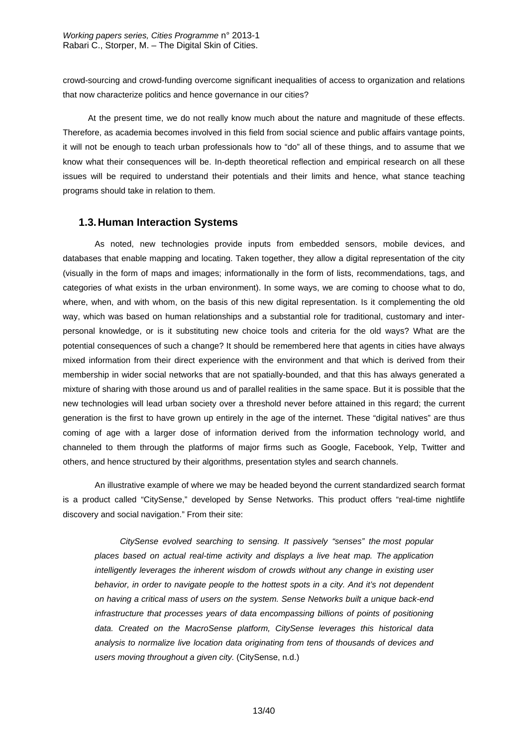crowd-sourcing and crowd-funding overcome significant inequalities of access to organization and relations that now characterize politics and hence governance in our cities?

At the present time, we do not really know much about the nature and magnitude of these effects. Therefore, as academia becomes involved in this field from social science and public affairs vantage points, it will not be enough to teach urban professionals how to "do" all of these things, and to assume that we know what their consequences will be. In-depth theoretical reflection and empirical research on all these issues will be required to understand their potentials and their limits and hence, what stance teaching programs should take in relation to them.

### **1.3. Human Interaction Systems**

As noted, new technologies provide inputs from embedded sensors, mobile devices, and databases that enable mapping and locating. Taken together, they allow a digital representation of the city (visually in the form of maps and images; informationally in the form of lists, recommendations, tags, and categories of what exists in the urban environment). In some ways, we are coming to choose what to do, where, when, and with whom, on the basis of this new digital representation. Is it complementing the old way, which was based on human relationships and a substantial role for traditional, customary and interpersonal knowledge, or is it substituting new choice tools and criteria for the old ways? What are the potential consequences of such a change? It should be remembered here that agents in cities have always mixed information from their direct experience with the environment and that which is derived from their membership in wider social networks that are not spatially-bounded, and that this has always generated a mixture of sharing with those around us and of parallel realities in the same space. But it is possible that the new technologies will lead urban society over a threshold never before attained in this regard; the current generation is the first to have grown up entirely in the age of the internet. These "digital natives" are thus coming of age with a larger dose of information derived from the information technology world, and channeled to them through the platforms of major firms such as Google, Facebook, Yelp, Twitter and others, and hence structured by their algorithms, presentation styles and search channels.

An illustrative example of where we may be headed beyond the current standardized search format is a product called "CitySense," developed by Sense Networks. This product offers "real-time nightlife discovery and social navigation." From their site:

*CitySense evolved searching to sensing. It passively "senses" the most popular places based on actual real-time activity and displays a live heat map. The application intelligently leverages the inherent wisdom of crowds without any change in existing user behavior, in order to navigate people to the hottest spots in a city. And it's not dependent on having a critical mass of users on the system. Sense Networks built a unique back-end infrastructure that processes years of data encompassing billions of points of positioning data. Created on the MacroSense platform, CitySense leverages this historical data analysis to normalize live location data originating from tens of thousands of devices and users moving throughout a given city.* (CitySense, n.d.)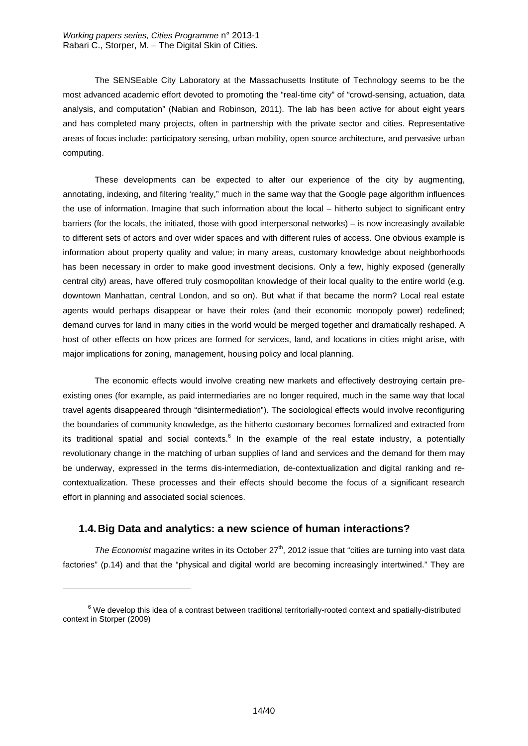The SENSEable City Laboratory at the Massachusetts Institute of Technology seems to be the most advanced academic effort devoted to promoting the "real-time city" of "crowd-sensing, actuation, data analysis, and computation" (Nabian and Robinson, 2011). The lab has been active for about eight years and has completed many projects, often in partnership with the private sector and cities. Representative areas of focus include: participatory sensing, urban mobility, open source architecture, and pervasive urban computing.

These developments can be expected to alter our experience of the city by augmenting, annotating, indexing, and filtering 'reality," much in the same way that the Google page algorithm influences the use of information. Imagine that such information about the local – hitherto subject to significant entry barriers (for the locals, the initiated, those with good interpersonal networks) – is now increasingly available to different sets of actors and over wider spaces and with different rules of access. One obvious example is information about property quality and value; in many areas, customary knowledge about neighborhoods has been necessary in order to make good investment decisions. Only a few, highly exposed (generally central city) areas, have offered truly cosmopolitan knowledge of their local quality to the entire world (e.g. downtown Manhattan, central London, and so on). But what if that became the norm? Local real estate agents would perhaps disappear or have their roles (and their economic monopoly power) redefined; demand curves for land in many cities in the world would be merged together and dramatically reshaped. A host of other effects on how prices are formed for services, land, and locations in cities might arise, with major implications for zoning, management, housing policy and local planning.

The economic effects would involve creating new markets and effectively destroying certain preexisting ones (for example, as paid intermediaries are no longer required, much in the same way that local travel agents disappeared through "disintermediation"). The sociological effects would involve reconfiguring the boundaries of community knowledge, as the hitherto customary becomes formalized and extracted from its traditional spatial and social contexts.<sup>6</sup> In the example of the real estate industry, a potentially revolutionary change in the matching of urban supplies of land and services and the demand for them may be underway, expressed in the terms dis-intermediation, de-contextualization and digital ranking and recontextualization. These processes and their effects should become the focus of a significant research effort in planning and associated social sciences.

## **1.4. Big Data and analytics: a new science of human interactions?**

-

*The Economist* magazine writes in its October 27<sup>th</sup>, 2012 issue that "cities are turning into vast data factories" (p.14) and that the "physical and digital world are becoming increasingly intertwined." They are

 $6$  We develop this idea of a contrast between traditional territorially-rooted context and spatially-distributed context in Storper (2009)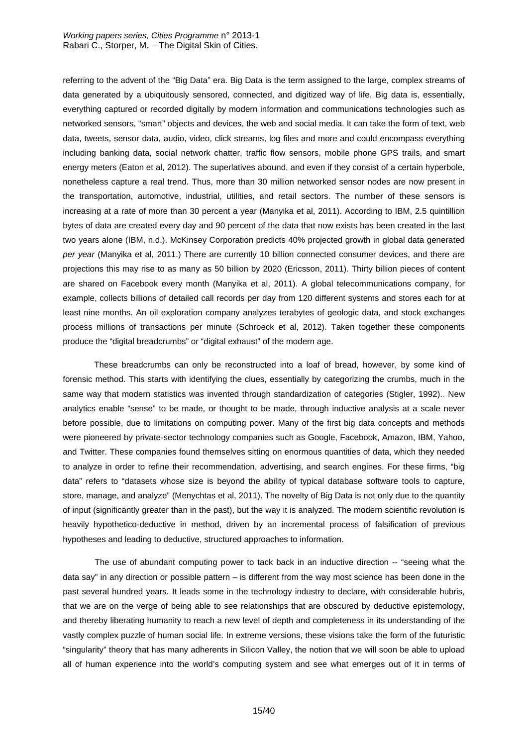referring to the advent of the "Big Data" era. Big Data is the term assigned to the large, complex streams of data generated by a ubiquitously sensored, connected, and digitized way of life. Big data is, essentially, everything captured or recorded digitally by modern information and communications technologies such as networked sensors, "smart" objects and devices, the web and social media. It can take the form of text, web data, tweets, sensor data, audio, video, click streams, log files and more and could encompass everything including banking data, social network chatter, traffic flow sensors, mobile phone GPS trails, and smart energy meters (Eaton et al, 2012). The superlatives abound, and even if they consist of a certain hyperbole, nonetheless capture a real trend. Thus, more than 30 million networked sensor nodes are now present in the transportation, automotive, industrial, utilities, and retail sectors. The number of these sensors is increasing at a rate of more than 30 percent a year (Manyika et al, 2011). According to IBM, 2.5 quintillion bytes of data are created every day and 90 percent of the data that now exists has been created in the last two years alone (IBM, n.d.). McKinsey Corporation predicts 40% projected growth in global data generated *per year* (Manyika et al, 2011.) There are currently 10 billion connected consumer devices, and there are projections this may rise to as many as 50 billion by 2020 (Ericsson, 2011). Thirty billion pieces of content are shared on Facebook every month (Manyika et al, 2011). A global telecommunications company, for example, collects billions of detailed call records per day from 120 different systems and stores each for at least nine months. An oil exploration company analyzes terabytes of geologic data, and stock exchanges process millions of transactions per minute (Schroeck et al, 2012). Taken together these components produce the "digital breadcrumbs" or "digital exhaust" of the modern age.

 These breadcrumbs can only be reconstructed into a loaf of bread, however, by some kind of forensic method. This starts with identifying the clues, essentially by categorizing the crumbs, much in the same way that modern statistics was invented through standardization of categories (Stigler, 1992).. New analytics enable "sense" to be made, or thought to be made, through inductive analysis at a scale never before possible, due to limitations on computing power. Many of the first big data concepts and methods were pioneered by private-sector technology companies such as Google, Facebook, Amazon, IBM, Yahoo, and Twitter. These companies found themselves sitting on enormous quantities of data, which they needed to analyze in order to refine their recommendation, advertising, and search engines. For these firms, "big data" refers to "datasets whose size is beyond the ability of typical database software tools to capture, store, manage, and analyze" (Menychtas et al, 2011). The novelty of Big Data is not only due to the quantity of input (significantly greater than in the past), but the way it is analyzed. The modern scientific revolution is heavily hypothetico-deductive in method, driven by an incremental process of falsification of previous hypotheses and leading to deductive, structured approaches to information.

The use of abundant computing power to tack back in an inductive direction -- "seeing what the data say" in any direction or possible pattern – is different from the way most science has been done in the past several hundred years. It leads some in the technology industry to declare, with considerable hubris, that we are on the verge of being able to see relationships that are obscured by deductive epistemology, and thereby liberating humanity to reach a new level of depth and completeness in its understanding of the vastly complex puzzle of human social life. In extreme versions, these visions take the form of the futuristic "singularity" theory that has many adherents in Silicon Valley, the notion that we will soon be able to upload all of human experience into the world's computing system and see what emerges out of it in terms of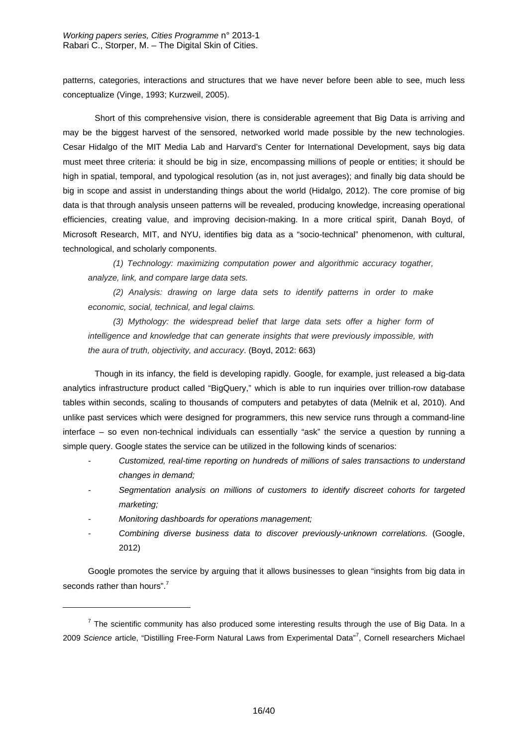patterns, categories, interactions and structures that we have never before been able to see, much less conceptualize (Vinge, 1993; Kurzweil, 2005).

Short of this comprehensive vision, there is considerable agreement that Big Data is arriving and may be the biggest harvest of the sensored, networked world made possible by the new technologies. Cesar Hidalgo of the MIT Media Lab and Harvard's Center for International Development, says big data must meet three criteria: it should be big in size, encompassing millions of people or entities; it should be high in spatial, temporal, and typological resolution (as in, not just averages); and finally big data should be big in scope and assist in understanding things about the world (Hidalgo, 2012). The core promise of big data is that through analysis unseen patterns will be revealed, producing knowledge, increasing operational efficiencies, creating value, and improving decision-making. In a more critical spirit, Danah Boyd, of Microsoft Research, MIT, and NYU, identifies big data as a "socio-technical" phenomenon, with cultural, technological, and scholarly components.

*(1) Technology: maximizing computation power and algorithmic accuracy togather, analyze, link, and compare large data sets.* 

*(2) Analysis: drawing on large data sets to identify patterns in order to make economic, social, technical, and legal claims.* 

*(3) Mythology: the widespread belief that large data sets offer a higher form of intelligence and knowledge that can generate insights that were previously impossible, with the aura of truth, objectivity, and accuracy*. (Boyd, 2012: 663)

Though in its infancy, the field is developing rapidly. Google, for example, just released a big-data analytics infrastructure product called "BigQuery," which is able to run inquiries over trillion*-*row database tables within seconds, scaling to thousands of computers and petabytes of data (Melnik et al, 2010). And unlike past services which were designed for programmers, this new service runs through a command-line interface – so even non-technical individuals can essentially "ask" the service a question by running a simple query. Google states the service can be utilized in the following kinds of scenarios:

- *Customized, real-time reporting on hundreds of millions of sales transactions to understand changes in demand;*
- *Segmentation analysis on millions of customers to identify discreet cohorts for targeted marketing;*
- *Monitoring dashboards for operations management;*

-

*- Combining diverse business data to discover previously-unknown correlations.* (Google, 2012)

Google promotes the service by arguing that it allows businesses to glean "insights from big data in seconds rather than hours".<sup>7</sup>

 $<sup>7</sup>$  The scientific community has also produced some interesting results through the use of Big Data. In a</sup> 2009 *Science* article, "Distilling Free-Form Natural Laws from Experimental Data"<sup>7</sup> , Cornell researchers Michael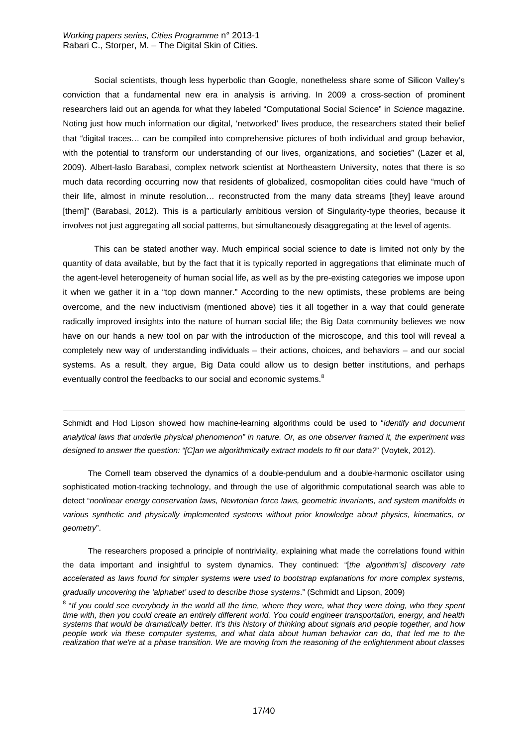-

 Social scientists, though less hyperbolic than Google, nonetheless share some of Silicon Valley's conviction that a fundamental new era in analysis is arriving. In 2009 a cross-section of prominent researchers laid out an agenda for what they labeled "Computational Social Science" in *Science* magazine. Noting just how much information our digital, 'networked' lives produce, the researchers stated their belief that "digital traces… can be compiled into comprehensive pictures of both individual and group behavior, with the potential to transform our understanding of our lives, organizations, and societies" (Lazer et al, 2009). Albert-laslo Barabasi, complex network scientist at Northeastern University, notes that there is so much data recording occurring now that residents of globalized, cosmopolitan cities could have "much of their life, almost in minute resolution… reconstructed from the many data streams [they] leave around [them]" (Barabasi, 2012). This is a particularly ambitious version of Singularity-type theories, because it involves not just aggregating all social patterns, but simultaneously disaggregating at the level of agents.

 This can be stated another way. Much empirical social science to date is limited not only by the quantity of data available, but by the fact that it is typically reported in aggregations that eliminate much of the agent-level heterogeneity of human social life, as well as by the pre-existing categories we impose upon it when we gather it in a "top down manner." According to the new optimists, these problems are being overcome, and the new inductivism (mentioned above) ties it all together in a way that could generate radically improved insights into the nature of human social life; the Big Data community believes we now have on our hands a new tool on par with the introduction of the microscope, and this tool will reveal a completely new way of understanding individuals – their actions, choices, and behaviors – and our social systems. As a result, they argue, Big Data could allow us to design better institutions, and perhaps eventually control the feedbacks to our social and economic systems.<sup>8</sup>

Schmidt and Hod Lipson showed how machine-learning algorithms could be used to "*identify and document analytical laws that underlie physical phenomenon" in nature. Or, as one observer framed it, the experiment was designed to answer the question: "[C]an we algorithmically extract models to fit our data?*" (Voytek, 2012).

The Cornell team observed the dynamics of a double-pendulum and a double-harmonic oscillator using sophisticated motion-tracking technology, and through the use of algorithmic computational search was able to detect "*nonlinear energy conservation laws, Newtonian force laws, geometric invariants, and system manifolds in various synthetic and physically implemented systems without prior knowledge about physics, kinematics, or geometry*".

The researchers proposed a principle of nontriviality, explaining what made the correlations found within the data important and insightful to system dynamics. They continued: "[*the algorithm's] discovery rate accelerated as laws found for simpler systems were used to bootstrap explanations for more complex systems, gradually uncovering the 'alphabet' used to describe those systems*." (Schmidt and Lipson, 2009)

<sup>&</sup>lt;sup>8</sup> "If you could see everybody in the world all the time, where they were, what they were doing, who they spent *time with, then you could create an entirely different world. You could engineer transportation, energy, and health systems that would be dramatically better. It's this history of thinking about signals and people together, and how people work via these computer systems, and what data about human behavior can do, that led me to the realization that we're at a phase transition. We are moving from the reasoning of the enlightenment about classes*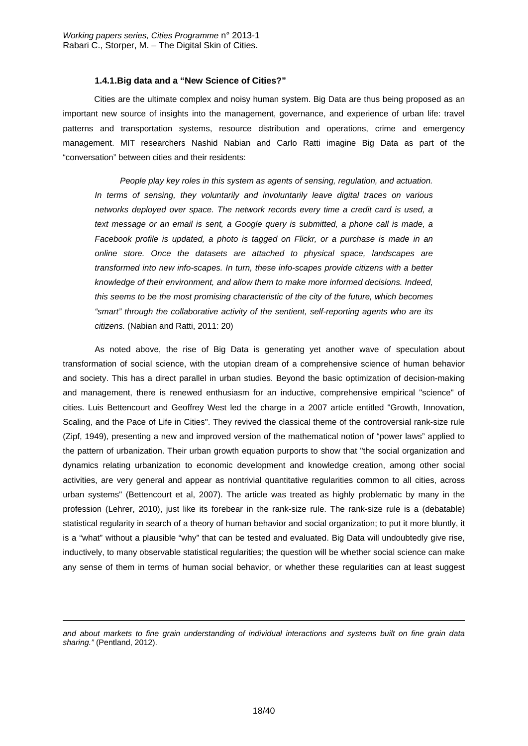#### **1.4.1. Big data and a "New Science of Cities?"**

 Cities are the ultimate complex and noisy human system. Big Data are thus being proposed as an important new source of insights into the management, governance, and experience of urban life: travel patterns and transportation systems, resource distribution and operations, crime and emergency management. MIT researchers Nashid Nabian and Carlo Ratti imagine Big Data as part of the "conversation" between cities and their residents:

*People play key roles in this system as agents of sensing, regulation, and actuation. In terms of sensing, they voluntarily and involuntarily leave digital traces on various networks deployed over space. The network records every time a credit card is used, a text message or an email is sent, a Google query is submitted, a phone call is made, a Facebook profile is updated, a photo is tagged on Flickr, or a purchase is made in an online store. Once the datasets are attached to physical space, landscapes are transformed into new info-scapes. In turn, these info-scapes provide citizens with a better knowledge of their environment, and allow them to make more informed decisions. Indeed, this seems to be the most promising characteristic of the city of the future, which becomes "smart" through the collaborative activity of the sentient, self-reporting agents who are its citizens.* (Nabian and Ratti, 2011: 20)

As noted above, the rise of Big Data is generating yet another wave of speculation about transformation of social science, with the utopian dream of a comprehensive science of human behavior and society. This has a direct parallel in urban studies. Beyond the basic optimization of decision-making and management, there is renewed enthusiasm for an inductive, comprehensive empirical "science" of cities. Luis Bettencourt and Geoffrey West led the charge in a 2007 article entitled "Growth, Innovation, Scaling, and the Pace of Life in Cities". They revived the classical theme of the controversial rank-size rule (Zipf, 1949), presenting a new and improved version of the mathematical notion of "power laws" applied to the pattern of urbanization. Their urban growth equation purports to show that "the social organization and dynamics relating urbanization to economic development and knowledge creation, among other social activities, are very general and appear as nontrivial quantitative regularities common to all cities, across urban systems" (Bettencourt et al, 2007). The article was treated as highly problematic by many in the profession (Lehrer, 2010), just like its forebear in the rank-size rule. The rank-size rule is a (debatable) statistical regularity in search of a theory of human behavior and social organization; to put it more bluntly, it is a "what" without a plausible "why" that can be tested and evaluated. Big Data will undoubtedly give rise, inductively, to many observable statistical regularities; the question will be whether social science can make any sense of them in terms of human social behavior, or whether these regularities can at least suggest

-

*and about markets to fine grain understanding of individual interactions and systems built on fine grain data sharing."* (Pentland, 2012).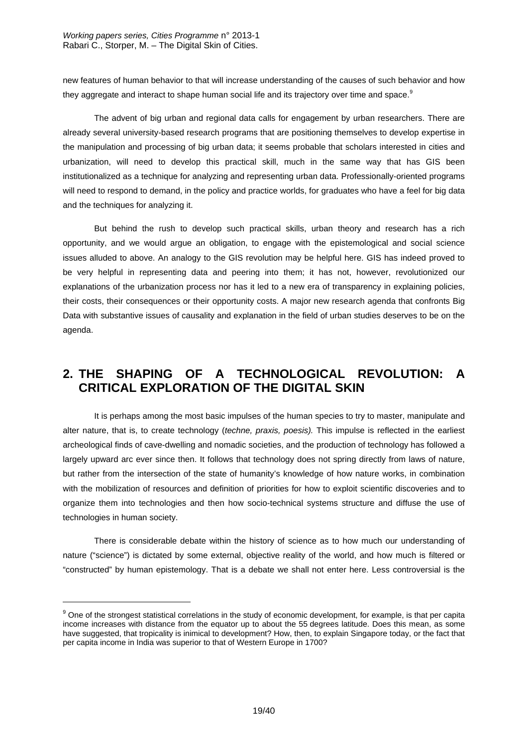new features of human behavior to that will increase understanding of the causes of such behavior and how they aggregate and interact to shape human social life and its trajectory over time and space. $^9$ 

 The advent of big urban and regional data calls for engagement by urban researchers. There are already several university-based research programs that are positioning themselves to develop expertise in the manipulation and processing of big urban data; it seems probable that scholars interested in cities and urbanization, will need to develop this practical skill, much in the same way that has GIS been institutionalized as a technique for analyzing and representing urban data. Professionally-oriented programs will need to respond to demand, in the policy and practice worlds, for graduates who have a feel for big data and the techniques for analyzing it.

 But behind the rush to develop such practical skills, urban theory and research has a rich opportunity, and we would argue an obligation, to engage with the epistemological and social science issues alluded to above. An analogy to the GIS revolution may be helpful here. GIS has indeed proved to be very helpful in representing data and peering into them; it has not, however, revolutionized our explanations of the urbanization process nor has it led to a new era of transparency in explaining policies, their costs, their consequences or their opportunity costs. A major new research agenda that confronts Big Data with substantive issues of causality and explanation in the field of urban studies deserves to be on the agenda.

## **2. THE SHAPING OF A TECHNOLOGICAL REVOLUTION: A CRITICAL EXPLORATION OF THE DIGITAL SKIN**

 It is perhaps among the most basic impulses of the human species to try to master, manipulate and alter nature, that is, to create technology (*techne, praxis, poesis).* This impulse is reflected in the earliest archeological finds of cave-dwelling and nomadic societies, and the production of technology has followed a largely upward arc ever since then. It follows that technology does not spring directly from laws of nature, but rather from the intersection of the state of humanity's knowledge of how nature works, in combination with the mobilization of resources and definition of priorities for how to exploit scientific discoveries and to organize them into technologies and then how socio-technical systems structure and diffuse the use of technologies in human society.

 There is considerable debate within the history of science as to how much our understanding of nature ("science") is dictated by some external, objective reality of the world, and how much is filtered or "constructed" by human epistemology. That is a debate we shall not enter here. Less controversial is the

-

<sup>&</sup>lt;sup>9</sup> One of the strongest statistical correlations in the study of economic development, for example, is that per capita income increases with distance from the equator up to about the 55 degrees latitude. Does this mean, as some have suggested, that tropicality is inimical to development? How, then, to explain Singapore today, or the fact that per capita income in India was superior to that of Western Europe in 1700?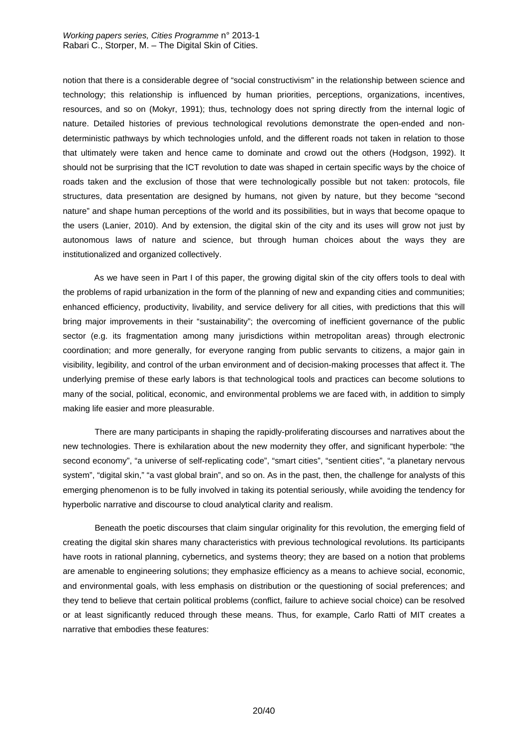*Working papers series, Cities Programme* n° 2013-1 Rabari C., Storper, M. – The Digital Skin of Cities.

notion that there is a considerable degree of "social constructivism" in the relationship between science and technology; this relationship is influenced by human priorities, perceptions, organizations, incentives, resources, and so on (Mokyr, 1991); thus, technology does not spring directly from the internal logic of nature. Detailed histories of previous technological revolutions demonstrate the open-ended and nondeterministic pathways by which technologies unfold, and the different roads not taken in relation to those that ultimately were taken and hence came to dominate and crowd out the others (Hodgson, 1992). It should not be surprising that the ICT revolution to date was shaped in certain specific ways by the choice of roads taken and the exclusion of those that were technologically possible but not taken: protocols, file structures, data presentation are designed by humans, not given by nature, but they become "second nature" and shape human perceptions of the world and its possibilities, but in ways that become opaque to the users (Lanier, 2010). And by extension, the digital skin of the city and its uses will grow not just by autonomous laws of nature and science, but through human choices about the ways they are institutionalized and organized collectively.

 As we have seen in Part I of this paper, the growing digital skin of the city offers tools to deal with the problems of rapid urbanization in the form of the planning of new and expanding cities and communities; enhanced efficiency, productivity, livability, and service delivery for all cities, with predictions that this will bring major improvements in their "sustainability"; the overcoming of inefficient governance of the public sector (e.g. its fragmentation among many jurisdictions within metropolitan areas) through electronic coordination; and more generally, for everyone ranging from public servants to citizens, a major gain in visibility, legibility, and control of the urban environment and of decision-making processes that affect it. The underlying premise of these early labors is that technological tools and practices can become solutions to many of the social, political, economic, and environmental problems we are faced with, in addition to simply making life easier and more pleasurable.

There are many participants in shaping the rapidly-proliferating discourses and narratives about the new technologies. There is exhilaration about the new modernity they offer, and significant hyperbole: "the second economy", "a universe of self-replicating code", "smart cities", "sentient cities", "a planetary nervous system", "digital skin," "a vast global brain", and so on. As in the past, then, the challenge for analysts of this emerging phenomenon is to be fully involved in taking its potential seriously, while avoiding the tendency for hyperbolic narrative and discourse to cloud analytical clarity and realism.

Beneath the poetic discourses that claim singular originality for this revolution, the emerging field of creating the digital skin shares many characteristics with previous technological revolutions. Its participants have roots in rational planning, cybernetics, and systems theory; they are based on a notion that problems are amenable to engineering solutions; they emphasize efficiency as a means to achieve social, economic, and environmental goals, with less emphasis on distribution or the questioning of social preferences; and they tend to believe that certain political problems (conflict, failure to achieve social choice) can be resolved or at least significantly reduced through these means. Thus, for example, Carlo Ratti of MIT creates a narrative that embodies these features: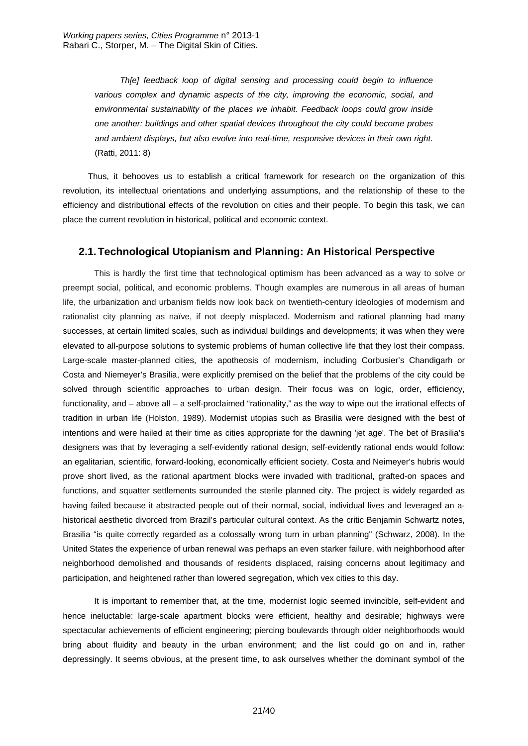*Th[e] feedback loop of digital sensing and processing could begin to influence various complex and dynamic aspects of the city, improving the economic, social, and environmental sustainability of the places we inhabit. Feedback loops could grow inside one another: buildings and other spatial devices throughout the city could become probes and ambient displays, but also evolve into real-time, responsive devices in their own right.* (Ratti, 2011: 8)

Thus, it behooves us to establish a critical framework for research on the organization of this revolution, its intellectual orientations and underlying assumptions, and the relationship of these to the efficiency and distributional effects of the revolution on cities and their people. To begin this task, we can place the current revolution in historical, political and economic context.

## **2.1. Technological Utopianism and Planning: An Historical Perspective**

 This is hardly the first time that technological optimism has been advanced as a way to solve or preempt social, political, and economic problems. Though examples are numerous in all areas of human life, the urbanization and urbanism fields now look back on twentieth-century ideologies of modernism and rationalist city planning as naïve, if not deeply misplaced. Modernism and rational planning had many successes, at certain limited scales, such as individual buildings and developments; it was when they were elevated to all-purpose solutions to systemic problems of human collective life that they lost their compass. Large-scale master-planned cities, the apotheosis of modernism, including Corbusier's Chandigarh or Costa and Niemeyer's Brasilia, were explicitly premised on the belief that the problems of the city could be solved through scientific approaches to urban design. Their focus was on logic, order, efficiency, functionality, and – above all – a self-proclaimed "rationality," as the way to wipe out the irrational effects of tradition in urban life (Holston, 1989). Modernist utopias such as Brasilia were designed with the best of intentions and were hailed at their time as cities appropriate for the dawning 'jet age'. The bet of Brasilia's designers was that by leveraging a self-evidently rational design, self-evidently rational ends would follow: an egalitarian, scientific, forward-looking, economically efficient society. Costa and Neimeyer's hubris would prove short lived, as the rational apartment blocks were invaded with traditional, grafted-on spaces and functions, and squatter settlements surrounded the sterile planned city. The project is widely regarded as having failed because it abstracted people out of their normal, social, individual lives and leveraged an ahistorical aesthetic divorced from Brazil's particular cultural context. As the critic Benjamin Schwartz notes, Brasilia "is quite correctly regarded as a colossally wrong turn in urban planning" (Schwarz, 2008). In the United States the experience of urban renewal was perhaps an even starker failure, with neighborhood after neighborhood demolished and thousands of residents displaced, raising concerns about legitimacy and participation, and heightened rather than lowered segregation, which vex cities to this day.

 It is important to remember that, at the time, modernist logic seemed invincible, self-evident and hence ineluctable: large-scale apartment blocks were efficient, healthy and desirable; highways were spectacular achievements of efficient engineering; piercing boulevards through older neighborhoods would bring about fluidity and beauty in the urban environment; and the list could go on and in, rather depressingly. It seems obvious, at the present time, to ask ourselves whether the dominant symbol of the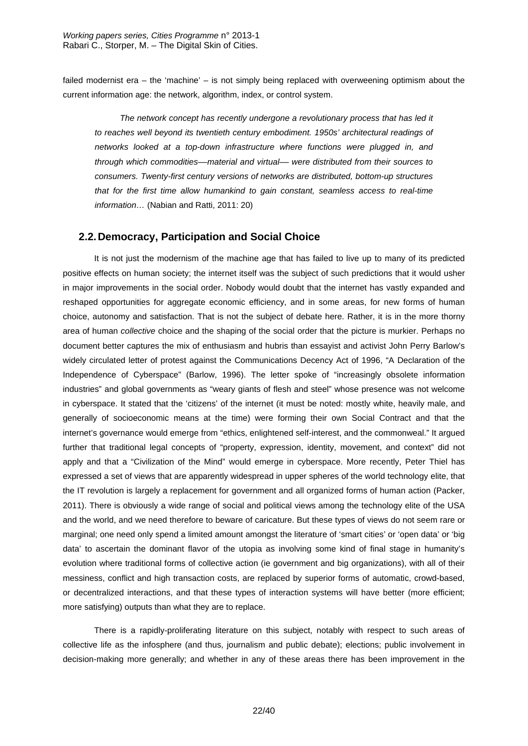failed modernist era – the 'machine' – is not simply being replaced with overweening optimism about the current information age: the network, algorithm, index, or control system.

*The network concept has recently undergone a revolutionary process that has led it to reaches well beyond its twentieth century embodiment. 1950s' architectural readings of networks looked at a top-down infrastructure where functions were plugged in, and through which commodities––material and virtual–– were distributed from their sources to consumers. Twenty-first century versions of networks are distributed, bottom-up structures that for the first time allow humankind to gain constant, seamless access to real-time information…* (Nabian and Ratti, 2011: 20)

## **2.2. Democracy, Participation and Social Choice**

 It is not just the modernism of the machine age that has failed to live up to many of its predicted positive effects on human society; the internet itself was the subject of such predictions that it would usher in major improvements in the social order. Nobody would doubt that the internet has vastly expanded and reshaped opportunities for aggregate economic efficiency, and in some areas, for new forms of human choice, autonomy and satisfaction. That is not the subject of debate here. Rather, it is in the more thorny area of human *collective* choice and the shaping of the social order that the picture is murkier. Perhaps no document better captures the mix of enthusiasm and hubris than essayist and activist John Perry Barlow's widely circulated letter of protest against the Communications Decency Act of 1996, "A Declaration of the Independence of Cyberspace" (Barlow, 1996). The letter spoke of "increasingly obsolete information industries" and global governments as "weary giants of flesh and steel" whose presence was not welcome in cyberspace. It stated that the 'citizens' of the internet (it must be noted: mostly white, heavily male, and generally of socioeconomic means at the time) were forming their own Social Contract and that the internet's governance would emerge from "ethics, enlightened self-interest, and the commonweal." It argued further that traditional legal concepts of "property, expression, identity, movement, and context" did not apply and that a "Civilization of the Mind" would emerge in cyberspace. More recently, Peter Thiel has expressed a set of views that are apparently widespread in upper spheres of the world technology elite, that the IT revolution is largely a replacement for government and all organized forms of human action (Packer, 2011). There is obviously a wide range of social and political views among the technology elite of the USA and the world, and we need therefore to beware of caricature. But these types of views do not seem rare or marginal; one need only spend a limited amount amongst the literature of 'smart cities' or 'open data' or 'big data' to ascertain the dominant flavor of the utopia as involving some kind of final stage in humanity's evolution where traditional forms of collective action (ie government and big organizations), with all of their messiness, conflict and high transaction costs, are replaced by superior forms of automatic, crowd-based, or decentralized interactions, and that these types of interaction systems will have better (more efficient; more satisfying) outputs than what they are to replace.

 There is a rapidly-proliferating literature on this subject, notably with respect to such areas of collective life as the infosphere (and thus, journalism and public debate); elections; public involvement in decision-making more generally; and whether in any of these areas there has been improvement in the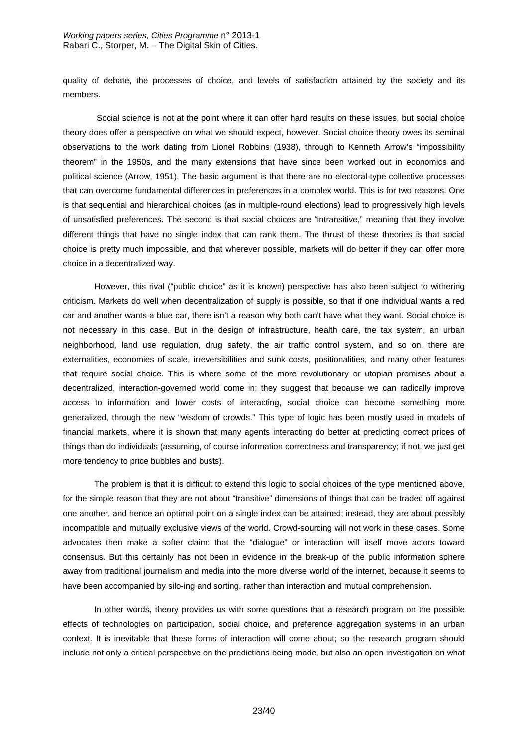#### *Working papers series, Cities Programme* n° 2013-1 Rabari C., Storper, M. – The Digital Skin of Cities.

quality of debate, the processes of choice, and levels of satisfaction attained by the society and its members.

 Social science is not at the point where it can offer hard results on these issues, but social choice theory does offer a perspective on what we should expect, however. Social choice theory owes its seminal observations to the work dating from Lionel Robbins (1938), through to Kenneth Arrow's "impossibility theorem" in the 1950s, and the many extensions that have since been worked out in economics and political science (Arrow, 1951). The basic argument is that there are no electoral-type collective processes that can overcome fundamental differences in preferences in a complex world. This is for two reasons. One is that sequential and hierarchical choices (as in multiple-round elections) lead to progressively high levels of unsatisfied preferences. The second is that social choices are "intransitive," meaning that they involve different things that have no single index that can rank them. The thrust of these theories is that social choice is pretty much impossible, and that wherever possible, markets will do better if they can offer more choice in a decentralized way.

 However, this rival ("public choice" as it is known) perspective has also been subject to withering criticism. Markets do well when decentralization of supply is possible, so that if one individual wants a red car and another wants a blue car, there isn't a reason why both can't have what they want. Social choice is not necessary in this case. But in the design of infrastructure, health care, the tax system, an urban neighborhood, land use regulation, drug safety, the air traffic control system, and so on, there are externalities, economies of scale, irreversibilities and sunk costs, positionalities, and many other features that require social choice. This is where some of the more revolutionary or utopian promises about a decentralized, interaction-governed world come in; they suggest that because we can radically improve access to information and lower costs of interacting, social choice can become something more generalized, through the new "wisdom of crowds." This type of logic has been mostly used in models of financial markets, where it is shown that many agents interacting do better at predicting correct prices of things than do individuals (assuming, of course information correctness and transparency; if not, we just get more tendency to price bubbles and busts).

 The problem is that it is difficult to extend this logic to social choices of the type mentioned above, for the simple reason that they are not about "transitive" dimensions of things that can be traded off against one another, and hence an optimal point on a single index can be attained; instead, they are about possibly incompatible and mutually exclusive views of the world. Crowd-sourcing will not work in these cases. Some advocates then make a softer claim: that the "dialogue" or interaction will itself move actors toward consensus. But this certainly has not been in evidence in the break-up of the public information sphere away from traditional journalism and media into the more diverse world of the internet, because it seems to have been accompanied by silo-ing and sorting, rather than interaction and mutual comprehension.

 In other words, theory provides us with some questions that a research program on the possible effects of technologies on participation, social choice, and preference aggregation systems in an urban context. It is inevitable that these forms of interaction will come about; so the research program should include not only a critical perspective on the predictions being made, but also an open investigation on what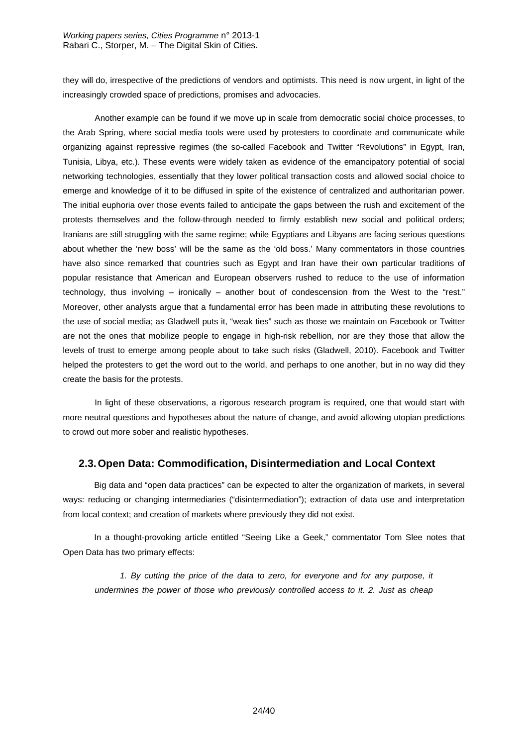they will do, irrespective of the predictions of vendors and optimists. This need is now urgent, in light of the increasingly crowded space of predictions, promises and advocacies.

Another example can be found if we move up in scale from democratic social choice processes, to the Arab Spring, where social media tools were used by protesters to coordinate and communicate while organizing against repressive regimes (the so-called Facebook and Twitter "Revolutions" in Egypt, Iran, Tunisia, Libya, etc.). These events were widely taken as evidence of the emancipatory potential of social networking technologies, essentially that they lower political transaction costs and allowed social choice to emerge and knowledge of it to be diffused in spite of the existence of centralized and authoritarian power. The initial euphoria over those events failed to anticipate the gaps between the rush and excitement of the protests themselves and the follow-through needed to firmly establish new social and political orders; Iranians are still struggling with the same regime; while Egyptians and Libyans are facing serious questions about whether the 'new boss' will be the same as the 'old boss.' Many commentators in those countries have also since remarked that countries such as Egypt and Iran have their own particular traditions of popular resistance that American and European observers rushed to reduce to the use of information technology, thus involving – ironically – another bout of condescension from the West to the "rest." Moreover, other analysts argue that a fundamental error has been made in attributing these revolutions to the use of social media; as Gladwell puts it, "weak ties" such as those we maintain on Facebook or Twitter are not the ones that mobilize people to engage in high-risk rebellion, nor are they those that allow the levels of trust to emerge among people about to take such risks (Gladwell, 2010). Facebook and Twitter helped the protesters to get the word out to the world, and perhaps to one another, but in no way did they create the basis for the protests.

In light of these observations, a rigorous research program is required, one that would start with more neutral questions and hypotheses about the nature of change, and avoid allowing utopian predictions to crowd out more sober and realistic hypotheses.

## **2.3. Open Data: Commodification, Disintermediation and Local Context**

 Big data and "open data practices" can be expected to alter the organization of markets, in several ways: reducing or changing intermediaries ("disintermediation"); extraction of data use and interpretation from local context; and creation of markets where previously they did not exist.

 In a thought-provoking article entitled "Seeing Like a Geek," commentator Tom Slee notes that Open Data has two primary effects:

*1. By cutting the price of the data to zero, for everyone and for any purpose, it undermines the power of those who previously controlled access to it. 2. Just as cheap*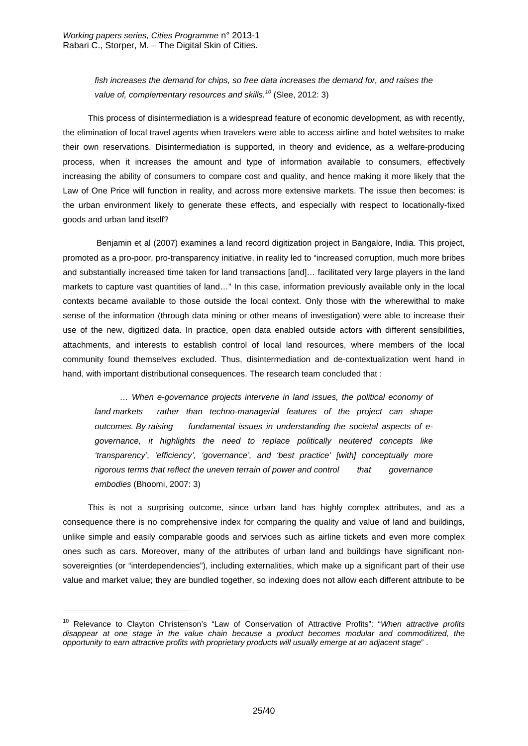*fish increases the demand for chips, so free data increases the demand for, and raises the value of, complementary resources and skills.<sup>10</sup>* (Slee, 2012: 3)

This process of disintermediation is a widespread feature of economic development, as with recently, the elimination of local travel agents when travelers were able to access airline and hotel websites to make their own reservations. Disintermediation is supported, in theory and evidence, as a welfare-producing process, when it increases the amount and type of information available to consumers, effectively increasing the ability of consumers to compare cost and quality, and hence making it more likely that the Law of One Price will function in reality, and across more extensive markets. The issue then becomes: is the urban environment likely to generate these effects, and especially with respect to locationally-fixed goods and urban land itself?

 Benjamin et al (2007) examines a land record digitization project in Bangalore, India. This project, promoted as a pro-poor, pro-transparency initiative, in reality led to "increased corruption, much more bribes and substantially increased time taken for land transactions [and]… facilitated very large players in the land markets to capture vast quantities of land…" In this case, information previously available only in the local contexts became available to those outside the local context. Only those with the wherewithal to make sense of the information (through data mining or other means of investigation) were able to increase their use of the new, digitized data. In practice, open data enabled outside actors with different sensibilities, attachments, and interests to establish control of local land resources, where members of the local community found themselves excluded. Thus, disintermediation and de-contextualization went hand in hand, with important distributional consequences. The research team concluded that :

*… When e-governance projects intervene in land issues, the political economy of land markets rather than techno-managerial features of the project can shape outcomes. By raising fundamental issues in understanding the societal aspects of egovernance, it highlights the need to replace politically neutered concepts like 'transparency', 'efficiency', 'governance', and 'best practice' [with] conceptually more rigorous terms that reflect the uneven terrain of power and control that governance embodies* (Bhoomi, 2007: 3)

This is not a surprising outcome, since urban land has highly complex attributes, and as a consequence there is no comprehensive index for comparing the quality and value of land and buildings, unlike simple and easily comparable goods and services such as airline tickets and even more complex ones such as cars. Moreover, many of the attributes of urban land and buildings have significant nonsovereignties (or "interdependencies"), including externalities, which make up a significant part of their use value and market value; they are bundled together, so indexing does not allow each different attribute to be

 $\overline{a}$ 

<sup>10</sup> Relevance to Clayton Christenson's "Law of Conservation of Attractive Profits": "*When attractive profits disappear at one stage in the value chain because a product becomes modular and commoditized, the opportunity to earn attractive profits with proprietary products will usually emerge at an adjacent stage*" .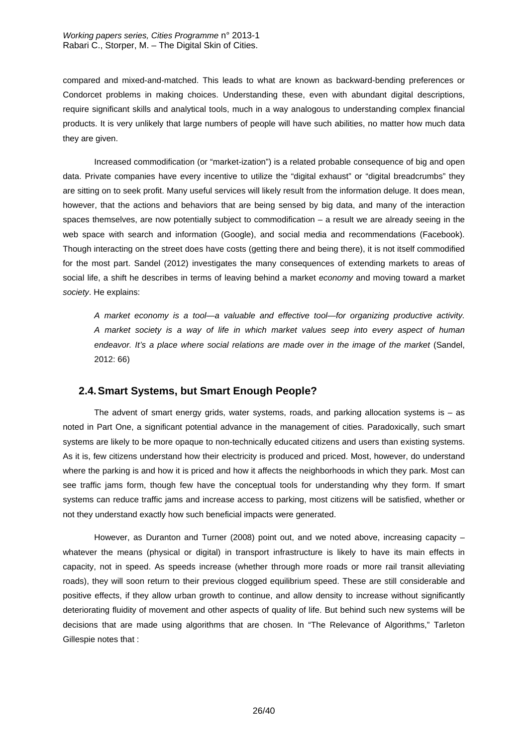compared and mixed-and-matched. This leads to what are known as backward-bending preferences or Condorcet problems in making choices. Understanding these, even with abundant digital descriptions, require significant skills and analytical tools, much in a way analogous to understanding complex financial products. It is very unlikely that large numbers of people will have such abilities, no matter how much data they are given.

 Increased commodification (or "market-ization") is a related probable consequence of big and open data. Private companies have every incentive to utilize the "digital exhaust" or "digital breadcrumbs" they are sitting on to seek profit. Many useful services will likely result from the information deluge. It does mean, however, that the actions and behaviors that are being sensed by big data, and many of the interaction spaces themselves, are now potentially subject to commodification – a result we are already seeing in the web space with search and information (Google), and social media and recommendations (Facebook). Though interacting on the street does have costs (getting there and being there), it is not itself commodified for the most part. Sandel (2012) investigates the many consequences of extending markets to areas of social life, a shift he describes in terms of leaving behind a market *economy* and moving toward a market *society*. He explains:

 *A market economy is a tool—a valuable and effective tool—for organizing productive activity. A market society is a way of life in which market values seep into every aspect of human endeavor. It's a place where social relations are made over in the image of the market* (Sandel, 2012: 66)

## **2.4. Smart Systems, but Smart Enough People?**

The advent of smart energy grids, water systems, roads, and parking allocation systems is  $-$  as noted in Part One, a significant potential advance in the management of cities. Paradoxically, such smart systems are likely to be more opaque to non-technically educated citizens and users than existing systems. As it is, few citizens understand how their electricity is produced and priced. Most, however, do understand where the parking is and how it is priced and how it affects the neighborhoods in which they park. Most can see traffic jams form, though few have the conceptual tools for understanding why they form. If smart systems can reduce traffic jams and increase access to parking, most citizens will be satisfied, whether or not they understand exactly how such beneficial impacts were generated.

 However, as Duranton and Turner (2008) point out, and we noted above, increasing capacity – whatever the means (physical or digital) in transport infrastructure is likely to have its main effects in capacity, not in speed. As speeds increase (whether through more roads or more rail transit alleviating roads), they will soon return to their previous clogged equilibrium speed. These are still considerable and positive effects, if they allow urban growth to continue, and allow density to increase without significantly deteriorating fluidity of movement and other aspects of quality of life. But behind such new systems will be decisions that are made using algorithms that are chosen. In "The Relevance of Algorithms," Tarleton Gillespie notes that :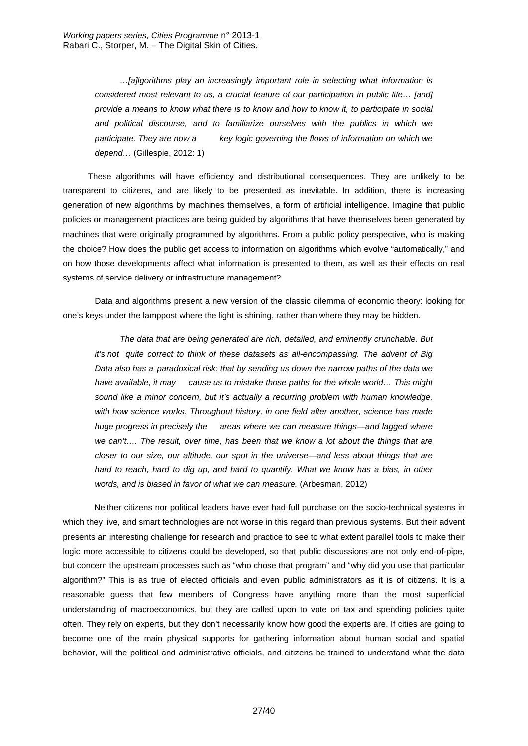*…[a]lgorithms play an increasingly important role in selecting what information is considered most relevant to us, a crucial feature of our participation in public life… [and] provide a means to know what there is to know and how to know it, to participate in social and political discourse, and to familiarize ourselves with the publics in which we participate. They are now a key logic governing the flows of information on which we depend…* (Gillespie, 2012: 1)

These algorithms will have efficiency and distributional consequences. They are unlikely to be transparent to citizens, and are likely to be presented as inevitable. In addition, there is increasing generation of new algorithms by machines themselves, a form of artificial intelligence. Imagine that public policies or management practices are being guided by algorithms that have themselves been generated by machines that were originally programmed by algorithms. From a public policy perspective, who is making the choice? How does the public get access to information on algorithms which evolve "automatically," and on how those developments affect what information is presented to them, as well as their effects on real systems of service delivery or infrastructure management?

Data and algorithms present a new version of the classic dilemma of economic theory: looking for one's keys under the lamppost where the light is shining, rather than where they may be hidden.

*The data that are being generated are rich, detailed, and eminently crunchable. But it's not quite correct to think of these datasets as all-encompassing. The advent of Big Data also has a paradoxical risk: that by sending us down the narrow paths of the data we have available, it may cause us to mistake those paths for the whole world… This might sound like a minor concern, but it's actually a recurring problem with human knowledge, with how science works. Throughout history, in one field after another, science has made huge progress in precisely the areas where we can measure things—and lagged where we can't…. The result, over time, has been that we know a lot about the things that are closer to our size, our altitude, our spot in the universe—and less about things that are*  hard to reach, hard to dig up, and hard to quantify. What we know has a bias, in other *words, and is biased in favor of what we can measure.* (Arbesman, 2012)

 Neither citizens nor political leaders have ever had full purchase on the socio-technical systems in which they live, and smart technologies are not worse in this regard than previous systems. But their advent presents an interesting challenge for research and practice to see to what extent parallel tools to make their logic more accessible to citizens could be developed, so that public discussions are not only end-of-pipe, but concern the upstream processes such as "who chose that program" and "why did you use that particular algorithm?" This is as true of elected officials and even public administrators as it is of citizens. It is a reasonable guess that few members of Congress have anything more than the most superficial understanding of macroeconomics, but they are called upon to vote on tax and spending policies quite often. They rely on experts, but they don't necessarily know how good the experts are. If cities are going to become one of the main physical supports for gathering information about human social and spatial behavior, will the political and administrative officials, and citizens be trained to understand what the data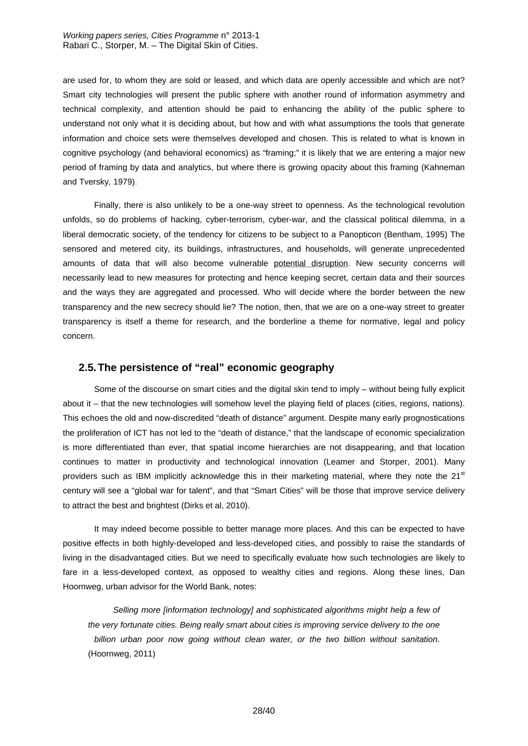are used for, to whom they are sold or leased, and which data are openly accessible and which are not? Smart city technologies will present the public sphere with another round of information asymmetry and technical complexity, and attention should be paid to enhancing the ability of the public sphere to understand not only what it is deciding about, but how and with what assumptions the tools that generate information and choice sets were themselves developed and chosen. This is related to what is known in cognitive psychology (and behavioral economics) as "framing;" it is likely that we are entering a major new period of framing by data and analytics, but where there is growing opacity about this framing (Kahneman and Tversky, 1979).

 Finally, there is also unlikely to be a one-way street to openness. As the technological revolution unfolds, so do problems of hacking, cyber-terrorism, cyber-war, and the classical political dilemma, in a liberal democratic society, of the tendency for citizens to be subject to a Panopticon (Bentham, 1995) The sensored and metered city, its buildings, infrastructures, and households, will generate unprecedented amounts of data that will also become vulnerable potential disruption. New security concerns will necessarily lead to new measures for protecting and hence keeping secret, certain data and their sources and the ways they are aggregated and processed. Who will decide where the border between the new transparency and the new secrecy should lie? The notion, then, that we are on a one-way street to greater transparency is itself a theme for research, and the borderline a theme for normative, legal and policy concern.

### **2.5. The persistence of "real" economic geography**

 Some of the discourse on smart cities and the digital skin tend to imply – without being fully explicit about it – that the new technologies will somehow level the playing field of places (cities, regions, nations). This echoes the old and now-discredited "death of distance" argument. Despite many early prognostications the proliferation of ICT has not led to the "death of distance," that the landscape of economic specialization is more differentiated than ever, that spatial income hierarchies are not disappearing, and that location continues to matter in productivity and technological innovation (Leamer and Storper, 2001). Many providers such as IBM implicitly acknowledge this in their marketing material, where they note the  $21<sup>st</sup>$ century will see a "global war for talent", and that "Smart Cities" will be those that improve service delivery to attract the best and brightest (Dirks et al, 2010).

 It may indeed become possible to better manage more places. And this can be expected to have positive effects in both highly-developed and less-developed cities, and possibly to raise the standards of living in the disadvantaged cities. But we need to specifically evaluate how such technologies are likely to fare in a less-developed context, as opposed to wealthy cities and regions. Along these lines, Dan Hoornweg, urban advisor for the World Bank, notes:

*Selling more [information technology] and sophisticated algorithms might help a few of the very fortunate cities. Being really smart about cities is improving service delivery to the one billion urban poor now going without clean water, or the two billion without sanitation*. (Hoornweg, 2011)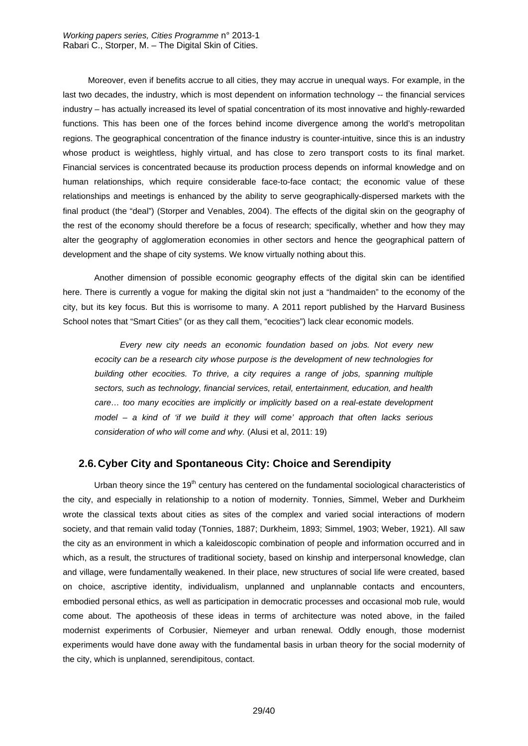Moreover, even if benefits accrue to all cities, they may accrue in unequal ways. For example, in the last two decades, the industry, which is most dependent on information technology -- the financial services industry – has actually increased its level of spatial concentration of its most innovative and highly-rewarded functions. This has been one of the forces behind income divergence among the world's metropolitan regions. The geographical concentration of the finance industry is counter-intuitive, since this is an industry whose product is weightless, highly virtual, and has close to zero transport costs to its final market. Financial services is concentrated because its production process depends on informal knowledge and on human relationships, which require considerable face-to-face contact; the economic value of these relationships and meetings is enhanced by the ability to serve geographically-dispersed markets with the final product (the "deal") (Storper and Venables, 2004). The effects of the digital skin on the geography of the rest of the economy should therefore be a focus of research; specifically, whether and how they may alter the geography of agglomeration economies in other sectors and hence the geographical pattern of development and the shape of city systems. We know virtually nothing about this.

 Another dimension of possible economic geography effects of the digital skin can be identified here. There is currently a vogue for making the digital skin not just a "handmaiden" to the economy of the city, but its key focus. But this is worrisome to many. A 2011 report published by the Harvard Business School notes that "Smart Cities" (or as they call them, "ecocities") lack clear economic models.

*Every new city needs an economic foundation based on jobs. Not every new ecocity can be a research city whose purpose is the development of new technologies for building other ecocities. To thrive, a city requires a range of jobs, spanning multiple sectors, such as technology, financial services, retail, entertainment, education, and health care… too many ecocities are implicitly or implicitly based on a real-estate development model – a kind of 'if we build it they will come' approach that often lacks serious consideration of who will come and why.* (Alusi et al, 2011: 19)

## **2.6. Cyber City and Spontaneous City: Choice and Serendipity**

Urban theory since the  $19<sup>th</sup>$  century has centered on the fundamental sociological characteristics of the city, and especially in relationship to a notion of modernity. Tonnies, Simmel, Weber and Durkheim wrote the classical texts about cities as sites of the complex and varied social interactions of modern society, and that remain valid today (Tonnies, 1887; Durkheim, 1893; Simmel, 1903; Weber, 1921). All saw the city as an environment in which a kaleidoscopic combination of people and information occurred and in which, as a result, the structures of traditional society, based on kinship and interpersonal knowledge, clan and village, were fundamentally weakened. In their place, new structures of social life were created, based on choice, ascriptive identity, individualism, unplanned and unplannable contacts and encounters, embodied personal ethics, as well as participation in democratic processes and occasional mob rule, would come about. The apotheosis of these ideas in terms of architecture was noted above, in the failed modernist experiments of Corbusier, Niemeyer and urban renewal. Oddly enough, those modernist experiments would have done away with the fundamental basis in urban theory for the social modernity of the city, which is unplanned, serendipitous, contact.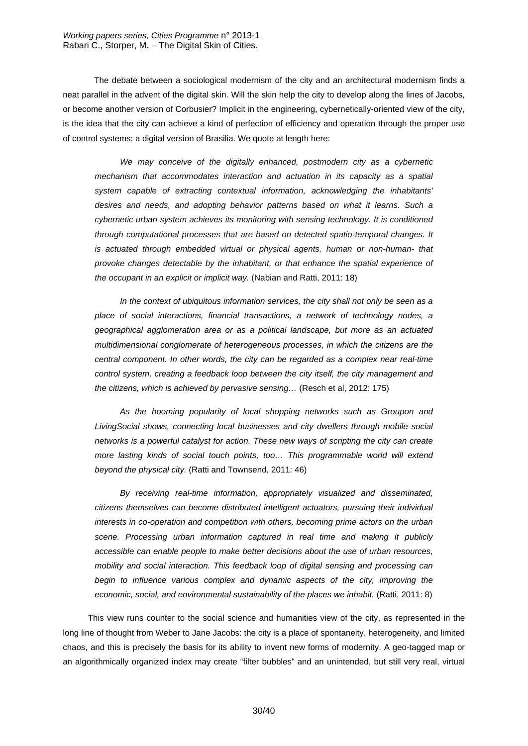The debate between a sociological modernism of the city and an architectural modernism finds a neat parallel in the advent of the digital skin. Will the skin help the city to develop along the lines of Jacobs, or become another version of Corbusier? Implicit in the engineering, cybernetically-oriented view of the city, is the idea that the city can achieve a kind of perfection of efficiency and operation through the proper use of control systems: a digital version of Brasilia. We quote at length here:

*We may conceive of the digitally enhanced, postmodern city as a cybernetic mechanism that accommodates interaction and actuation in its capacity as a spatial system capable of extracting contextual information, acknowledging the inhabitants' desires and needs, and adopting behavior patterns based on what it learns. Such a cybernetic urban system achieves its monitoring with sensing technology. It is conditioned through computational processes that are based on detected spatio-temporal changes. It is actuated through embedded virtual or physical agents, human or non-human- that provoke changes detectable by the inhabitant, or that enhance the spatial experience of the occupant in an explicit or implicit way.* (Nabian and Ratti, 2011: 18)

*In the context of ubiquitous information services, the city shall not only be seen as a place of social interactions, financial transactions, a network of technology nodes, a geographical agglomeration area or as a political landscape, but more as an actuated multidimensional conglomerate of heterogeneous processes, in which the citizens are the central component. In other words, the city can be regarded as a complex near real-time control system, creating a feedback loop between the city itself, the city management and the citizens, which is achieved by pervasive sensing…* (Resch et al, 2012: 175)

*As the booming popularity of local shopping networks such as Groupon and LivingSocial shows, connecting local businesses and city dwellers through mobile social networks is a powerful catalyst for action. These new ways of scripting the city can create*  more lasting kinds of social touch points, too... This programmable world will extend *beyond the physical city.* (Ratti and Townsend, 2011: 46)

*By receiving real-time information, appropriately visualized and disseminated, citizens themselves can become distributed intelligent actuators, pursuing their individual interests in co-operation and competition with others, becoming prime actors on the urban scene. Processing urban information captured in real time and making it publicly accessible can enable people to make better decisions about the use of urban resources, mobility and social interaction. This feedback loop of digital sensing and processing can*  begin to influence various complex and dynamic aspects of the city, improving the *economic, social, and environmental sustainability of the places we inhabit.* (Ratti, 2011: 8)

This view runs counter to the social science and humanities view of the city, as represented in the long line of thought from Weber to Jane Jacobs: the city is a place of spontaneity, heterogeneity, and limited chaos, and this is precisely the basis for its ability to invent new forms of modernity. A geo-tagged map or an algorithmically organized index may create "filter bubbles" and an unintended, but still very real, virtual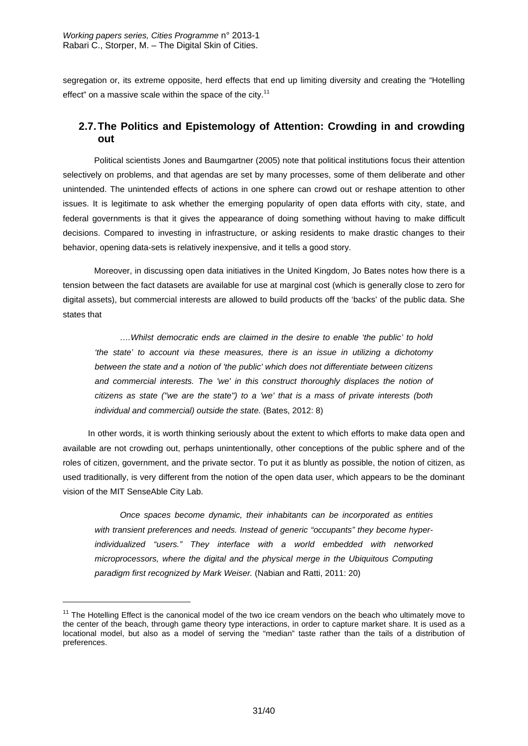segregation or, its extreme opposite, herd effects that end up limiting diversity and creating the "Hotelling effect" on a massive scale within the space of the city.<sup>11</sup>

## **2.7. The Politics and Epistemology of Attention: Crowding in and crowding out**

 Political scientists Jones and Baumgartner (2005) note that political institutions focus their attention selectively on problems, and that agendas are set by many processes, some of them deliberate and other unintended. The unintended effects of actions in one sphere can crowd out or reshape attention to other issues. It is legitimate to ask whether the emerging popularity of open data efforts with city, state, and federal governments is that it gives the appearance of doing something without having to make difficult decisions. Compared to investing in infrastructure, or asking residents to make drastic changes to their behavior, opening data-sets is relatively inexpensive, and it tells a good story.

 Moreover, in discussing open data initiatives in the United Kingdom, Jo Bates notes how there is a tension between the fact datasets are available for use at marginal cost (which is generally close to zero for digital assets), but commercial interests are allowed to build products off the 'backs' of the public data. She states that

*….Whilst democratic ends are claimed in the desire to enable 'the public' to hold 'the state' to account via these measures, there is an issue in utilizing a dichotomy between the state and a notion of 'the public' which does not differentiate between citizens*  and commercial interests. The 'we' in this construct thoroughly displaces the notion of *citizens as state ("we are the state") to a 'we' that is a mass of private interests (both individual and commercial) outside the state.* (Bates, 2012: 8)

In other words, it is worth thinking seriously about the extent to which efforts to make data open and available are not crowding out, perhaps unintentionally, other conceptions of the public sphere and of the roles of citizen, government, and the private sector. To put it as bluntly as possible, the notion of citizen, as used traditionally, is very different from the notion of the open data user, which appears to be the dominant vision of the MIT SenseAble City Lab.

*Once spaces become dynamic, their inhabitants can be incorporated as entities with transient preferences and needs. Instead of generic "occupants" they become hyperindividualized "users." They interface with a world embedded with networked microprocessors, where the digital and the physical merge in the Ubiquitous Computing paradigm first recognized by Mark Weiser.* (Nabian and Ratti, 2011: 20)

-

<sup>&</sup>lt;sup>11</sup> The Hotelling Effect is the canonical model of the two ice cream vendors on the beach who ultimately move to the center of the beach, through game theory type interactions, in order to capture market share. It is used as a locational model, but also as a model of serving the "median" taste rather than the tails of a distribution of preferences.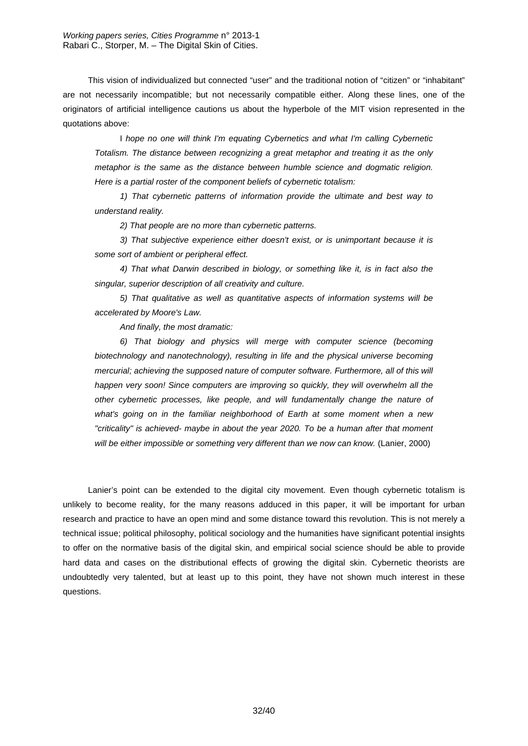This vision of individualized but connected "user" and the traditional notion of "citizen" or "inhabitant" are not necessarily incompatible; but not necessarily compatible either. Along these lines, one of the originators of artificial intelligence cautions us about the hyperbole of the MIT vision represented in the quotations above:

I *hope no one will think I'm equating Cybernetics and what I'm calling Cybernetic Totalism. The distance between recognizing a great metaphor and treating it as the only metaphor is the same as the distance between humble science and dogmatic religion. Here is a partial roster of the component beliefs of cybernetic totalism:* 

*1) That cybernetic patterns of information provide the ultimate and best way to understand reality.* 

*2) That people are no more than cybernetic patterns.* 

*3) That subjective experience either doesn't exist, or is unimportant because it is some sort of ambient or peripheral effect.* 

*4) That what Darwin described in biology, or something like it, is in fact also the singular, superior description of all creativity and culture.* 

*5) That qualitative as well as quantitative aspects of information systems will be accelerated by Moore's Law.* 

*And finally, the most dramatic:* 

*6) That biology and physics will merge with computer science (becoming biotechnology and nanotechnology), resulting in life and the physical universe becoming mercurial; achieving the supposed nature of computer software. Furthermore, all of this will happen very soon! Since computers are improving so quickly, they will overwhelm all the other cybernetic processes, like people, and will fundamentally change the nature of what's going on in the familiar neighborhood of Earth at some moment when a new "criticality" is achieved- maybe in about the year 2020. To be a human after that moment*  will be either impossible or something very different than we now can know. (Lanier, 2000)

Lanier's point can be extended to the digital city movement. Even though cybernetic totalism is unlikely to become reality, for the many reasons adduced in this paper, it will be important for urban research and practice to have an open mind and some distance toward this revolution. This is not merely a technical issue; political philosophy, political sociology and the humanities have significant potential insights to offer on the normative basis of the digital skin, and empirical social science should be able to provide hard data and cases on the distributional effects of growing the digital skin. Cybernetic theorists are undoubtedly very talented, but at least up to this point, they have not shown much interest in these questions.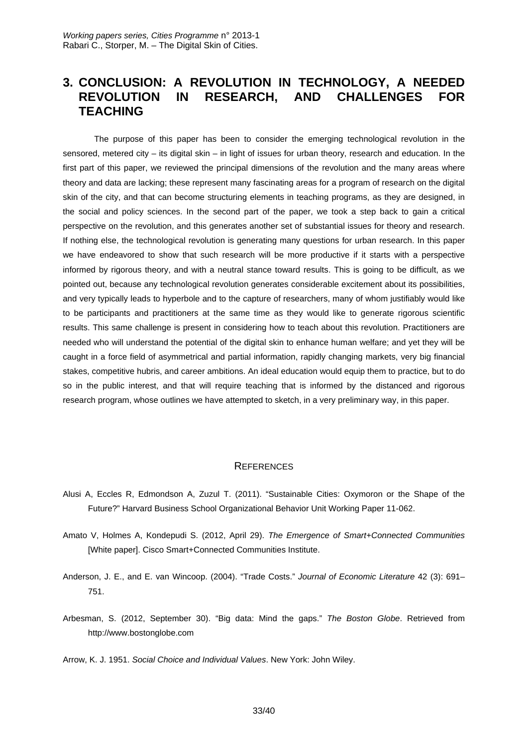## **3. CONCLUSION: A REVOLUTION IN TECHNOLOGY, A NEEDED REVOLUTION IN RESEARCH, AND CHALLENGES FOR TEACHING**

The purpose of this paper has been to consider the emerging technological revolution in the sensored, metered city – its digital skin – in light of issues for urban theory, research and education. In the first part of this paper, we reviewed the principal dimensions of the revolution and the many areas where theory and data are lacking; these represent many fascinating areas for a program of research on the digital skin of the city, and that can become structuring elements in teaching programs, as they are designed, in the social and policy sciences. In the second part of the paper, we took a step back to gain a critical perspective on the revolution, and this generates another set of substantial issues for theory and research. If nothing else, the technological revolution is generating many questions for urban research. In this paper we have endeavored to show that such research will be more productive if it starts with a perspective informed by rigorous theory, and with a neutral stance toward results. This is going to be difficult, as we pointed out, because any technological revolution generates considerable excitement about its possibilities, and very typically leads to hyperbole and to the capture of researchers, many of whom justifiably would like to be participants and practitioners at the same time as they would like to generate rigorous scientific results. This same challenge is present in considering how to teach about this revolution. Practitioners are needed who will understand the potential of the digital skin to enhance human welfare; and yet they will be caught in a force field of asymmetrical and partial information, rapidly changing markets, very big financial stakes, competitive hubris, and career ambitions. An ideal education would equip them to practice, but to do so in the public interest, and that will require teaching that is informed by the distanced and rigorous research program, whose outlines we have attempted to sketch, in a very preliminary way, in this paper.

#### **REFERENCES**

- Alusi A, Eccles R, Edmondson A, Zuzul T. (2011). "Sustainable Cities: Oxymoron or the Shape of the Future?" Harvard Business School Organizational Behavior Unit Working Paper 11-062.
- Amato V, Holmes A, Kondepudi S. (2012, April 29). *The Emergence of Smart+Connected Communities*  [White paper]. Cisco Smart+Connected Communities Institute.
- Anderson, J. E., and E. van Wincoop. (2004). "Trade Costs." *Journal of Economic Literature* 42 (3): 691– 751.
- Arbesman, S. (2012, September 30). "Big data: Mind the gaps." *The Boston Globe*. Retrieved from http://www.bostonglobe.com

Arrow, K. J. 1951. *Social Choice and Individual Values*. New York: John Wiley.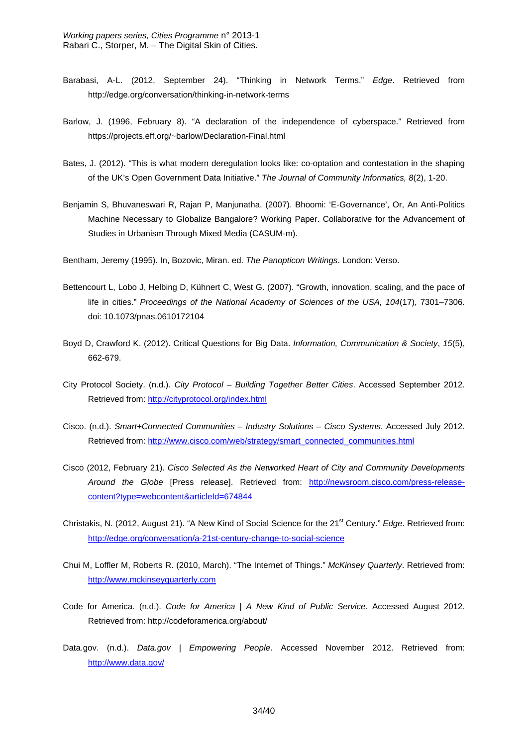- Barabasi, A-L. (2012, September 24). "Thinking in Network Terms." *Edge*. Retrieved from http://edge.org/conversation/thinking-in-network-terms
- Barlow, J. (1996, February 8). "A declaration of the independence of cyberspace." Retrieved from https://projects.eff.org/~barlow/Declaration-Final.html
- Bates, J. (2012). "This is what modern deregulation looks like: co-optation and contestation in the shaping of the UK's Open Government Data Initiative." *The Journal of Community Informatics, 8*(2), 1-20.
- Benjamin S, Bhuvaneswari R, Rajan P, Manjunatha. (2007). Bhoomi: 'E-Governance', Or, An Anti-Politics Machine Necessary to Globalize Bangalore? Working Paper. Collaborative for the Advancement of Studies in Urbanism Through Mixed Media (CASUM-m).

Bentham, Jeremy (1995). In, Bozovic, Miran. ed. *The Panopticon Writings*. London: Verso.

- Bettencourt L, Lobo J, Helbing D, Kühnert C, West G. (2007). "Growth, innovation, scaling, and the pace of life in cities." *Proceedings of the National Academy of Sciences of the USA, 104*(17), 7301–7306. doi: 10.1073/pnas.0610172104
- Boyd D, Crawford K. (2012). Critical Questions for Big Data. *Information, Communication & Society*, *15*(5), 662-679.
- City Protocol Society. (n.d.). *City Protocol Building Together Better Cities*. Accessed September 2012. Retrieved from: http://cityprotocol.org/index.html
- Cisco. (n.d.). *Smart+Connected Communities Industry Solutions Cisco Systems*. Accessed July 2012. Retrieved from: http://www.cisco.com/web/strategy/smart\_connected\_communities.html
- Cisco (2012, February 21). *Cisco Selected As the Networked Heart of City and Community Developments Around the Globe* [Press release]. Retrieved from: http://newsroom.cisco.com/press-releasecontent?type=webcontent&articleId=674844
- Christakis, N. (2012, August 21). "A New Kind of Social Science for the 21<sup>st</sup> Century." *Edge*. Retrieved from: http://edge.org/conversation/a-21st-century-change-to-social-science
- Chui M, Loffler M, Roberts R. (2010, March). "The Internet of Things." *McKinsey Quarterly*. Retrieved from: http://www.mckinseyquarterly.com
- Code for America. (n.d.). *Code for America | A New Kind of Public Service*. Accessed August 2012. Retrieved from: http://codeforamerica.org/about/
- Data.gov. (n.d.). *Data.gov | Empowering People*. Accessed November 2012. Retrieved from: http://www.data.gov/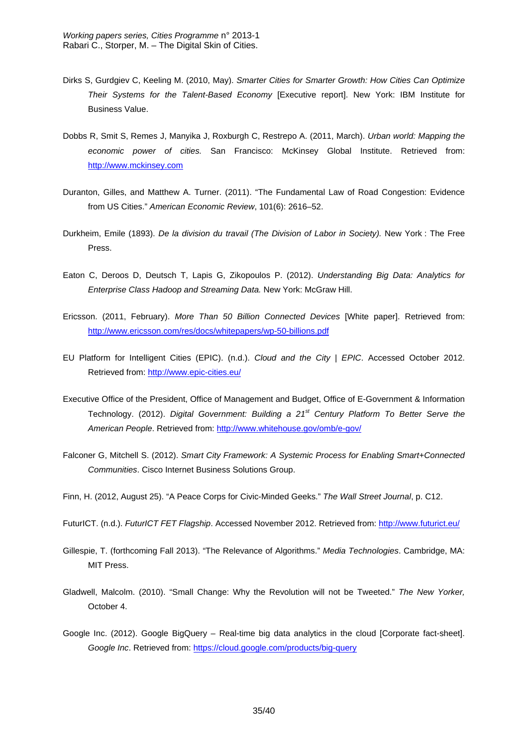- Dirks S, Gurdgiev C, Keeling M. (2010, May). *Smarter Cities for Smarter Growth: How Cities Can Optimize Their Systems for the Talent-Based Economy* [Executive report]. New York: IBM Institute for Business Value.
- Dobbs R, Smit S, Remes J, Manyika J, Roxburgh C, Restrepo A. (2011, March). *Urban world: Mapping the economic power of cities.* San Francisco: McKinsey Global Institute. Retrieved from: http://www.mckinsey.com
- Duranton, Gilles, and Matthew A. Turner. (2011). "The Fundamental Law of Road Congestion: Evidence from US Cities." *American Economic Review*, 101(6): 2616–52.
- Durkheim, Emile (1893). *De la division du travail (The Division of Labor in Society).* New York : The Free Press.
- Eaton C, Deroos D, Deutsch T, Lapis G, Zikopoulos P. (2012). *Understanding Big Data: Analytics for Enterprise Class Hadoop and Streaming Data.* New York: McGraw Hill.
- Ericsson. (2011, February). *More Than 50 Billion Connected Devices* [White paper]. Retrieved from: http://www.ericsson.com/res/docs/whitepapers/wp-50-billions.pdf
- EU Platform for Intelligent Cities (EPIC). (n.d.). *Cloud and the City | EPIC*. Accessed October 2012. Retrieved from: http://www.epic-cities.eu/
- Executive Office of the President, Office of Management and Budget, Office of E-Government & Information Technology. (2012). *Digital Government: Building a 21st Century Platform To Better Serve the American People*. Retrieved from: http://www.whitehouse.gov/omb/e-gov/
- Falconer G, Mitchell S. (2012). *Smart City Framework: A Systemic Process for Enabling Smart+Connected Communities*. Cisco Internet Business Solutions Group.
- Finn, H. (2012, August 25). "A Peace Corps for Civic-Minded Geeks." *The Wall Street Journal*, p. C12.
- FuturICT. (n.d.). *FuturICT FET Flagship*. Accessed November 2012. Retrieved from: http://www.futurict.eu/
- Gillespie, T. (forthcoming Fall 2013). "The Relevance of Algorithms." *Media Technologies*. Cambridge, MA: MIT Press.
- Gladwell, Malcolm. (2010). "Small Change: Why the Revolution will not be Tweeted." *The New Yorker,*  October 4.
- Google Inc. (2012). Google BigQuery Real-time big data analytics in the cloud [Corporate fact-sheet]. *Google Inc*. Retrieved from: https://cloud.google.com/products/big-query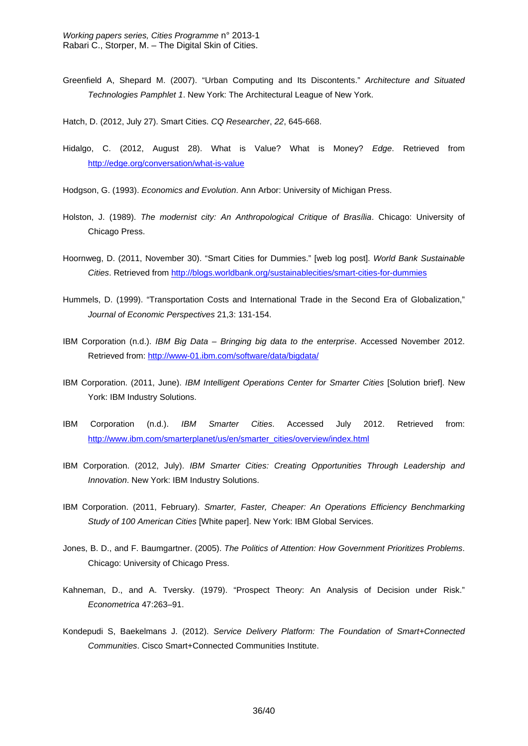Greenfield A, Shepard M. (2007). "Urban Computing and Its Discontents." *Architecture and Situated Technologies Pamphlet 1*. New York: The Architectural League of New York.

Hatch, D. (2012, July 27). Smart Cities. *CQ Researcher*, *22*, 645-668.

- Hidalgo, C. (2012, August 28). What is Value? What is Money? *Edge*. Retrieved from http://edge.org/conversation/what-is-value
- Hodgson, G. (1993). *Economics and Evolution*. Ann Arbor: University of Michigan Press.
- Holston, J. (1989). *The modernist city: An Anthropological Critique of Brasília*. Chicago: University of Chicago Press.
- Hoornweg, D. (2011, November 30). "Smart Cities for Dummies." [web log post]. *World Bank Sustainable Cities*. Retrieved from http://blogs.worldbank.org/sustainablecities/smart-cities-for-dummies
- Hummels, D. (1999). "Transportation Costs and International Trade in the Second Era of Globalization," *Journal of Economic Perspectives* 21,3: 131-154.
- IBM Corporation (n.d.). *IBM Big Data Bringing big data to the enterprise*. Accessed November 2012. Retrieved from: http://www-01.ibm.com/software/data/bigdata/
- IBM Corporation. (2011, June). *IBM Intelligent Operations Center for Smarter Cities* [Solution brief]. New York: IBM Industry Solutions.
- IBM Corporation (n.d.). *IBM Smarter Cities*. Accessed July 2012. Retrieved from: http://www.ibm.com/smarterplanet/us/en/smarter\_cities/overview/index.html
- IBM Corporation. (2012, July). *IBM Smarter Cities: Creating Opportunities Through Leadership and Innovation*. New York: IBM Industry Solutions.
- IBM Corporation. (2011, February). *Smarter, Faster, Cheaper: An Operations Efficiency Benchmarking Study of 100 American Cities* [White paper]. New York: IBM Global Services.
- Jones, B. D., and F. Baumgartner. (2005). *The Politics of Attention: How Government Prioritizes Problems*. Chicago: University of Chicago Press.
- Kahneman, D., and A. Tversky. (1979). "Prospect Theory: An Analysis of Decision under Risk." *Econometrica* 47:263–91.
- Kondepudi S, Baekelmans J. (2012). *Service Delivery Platform: The Foundation of Smart+Connected Communities*. Cisco Smart+Connected Communities Institute.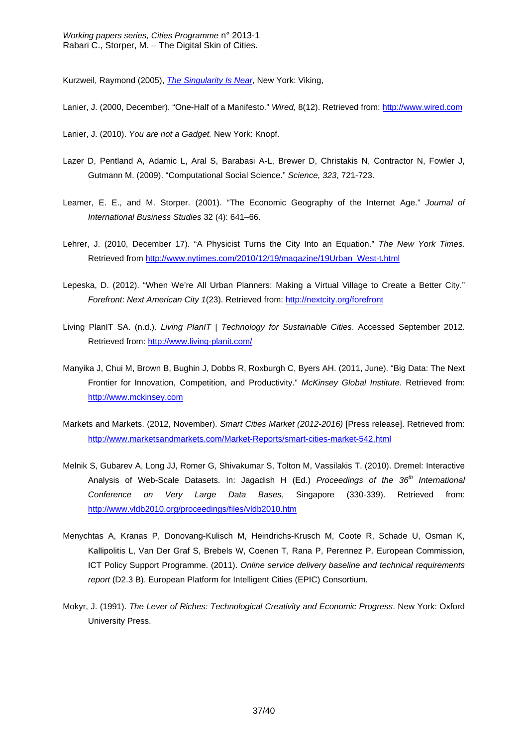Kurzweil, Raymond (2005), *The Singularity Is Near*, New York: Viking,

- Lanier, J. (2000, December). "One-Half of a Manifesto." *Wired,* 8(12). Retrieved from: http://www.wired.com
- Lanier, J. (2010). *You are not a Gadget.* New York: Knopf.
- Lazer D, Pentland A, Adamic L, Aral S, Barabasi A-L, Brewer D, Christakis N, Contractor N, Fowler J, Gutmann M. (2009). "Computational Social Science." *Science, 323*, 721-723.
- Leamer, E. E., and M. Storper. (2001). "The Economic Geography of the Internet Age." *Journal of International Business Studies* 32 (4): 641–66.
- Lehrer, J. (2010, December 17). "A Physicist Turns the City Into an Equation." *The New York Times*. Retrieved from http://www.nytimes.com/2010/12/19/magazine/19Urban\_West-t.html
- Lepeska, D. (2012). "When We're All Urban Planners: Making a Virtual Village to Create a Better City." *Forefront*: *Next American City 1*(23). Retrieved from: http://nextcity.org/forefront
- Living PlanIT SA. (n.d.). *Living PlanIT | Technology for Sustainable Cities*. Accessed September 2012. Retrieved from: http://www.living-planit.com/
- Manyika J, Chui M, Brown B, Bughin J, Dobbs R, Roxburgh C, Byers AH. (2011, June). "Big Data: The Next Frontier for Innovation, Competition, and Productivity." *McKinsey Global Institute*. Retrieved from: http://www.mckinsey.com
- Markets and Markets. (2012, November). *Smart Cities Market (2012-2016)* [Press release]. Retrieved from: http://www.marketsandmarkets.com/Market-Reports/smart-cities-market-542.html
- Melnik S, Gubarev A, Long JJ, Romer G, Shivakumar S, Tolton M, Vassilakis T. (2010). Dremel: Interactive Analysis of Web-Scale Datasets. In: Jagadish H (Ed.) *Proceedings of the 36th International Conference on Very Large Data Bases*, Singapore (330-339). Retrieved from: http://www.vldb2010.org/proceedings/files/vldb2010.htm
- Menychtas A, Kranas P, Donovang-Kulisch M, Heindrichs-Krusch M, Coote R, Schade U, Osman K, Kallipolitis L, Van Der Graf S, Brebels W, Coenen T, Rana P, Perennez P. European Commission, ICT Policy Support Programme. (2011). *Online service delivery baseline and technical requirements report* (D2.3 B). European Platform for Intelligent Cities (EPIC) Consortium.
- Mokyr, J. (1991). *The Lever of Riches: Technological Creativity and Economic Progress*. New York: Oxford University Press.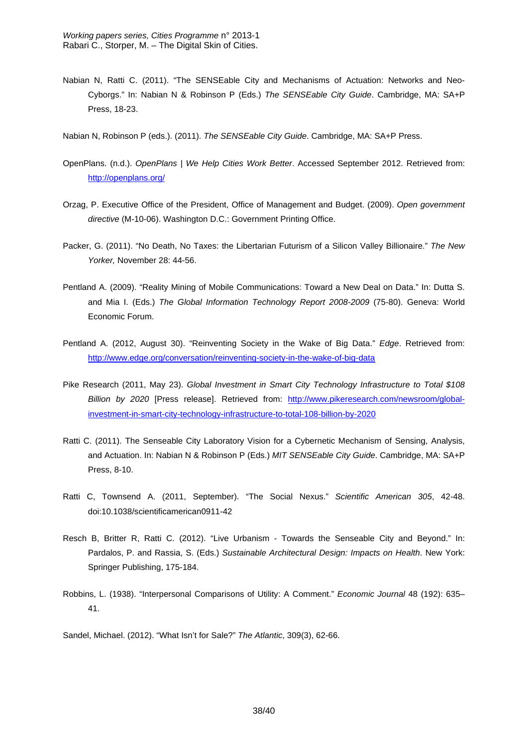- Nabian N, Ratti C. (2011). "The SENSEable City and Mechanisms of Actuation: Networks and Neo-Cyborgs." In: Nabian N & Robinson P (Eds.) *The SENSEable City Guide*. Cambridge, MA: SA+P Press, 18-23.
- Nabian N, Robinson P (eds.). (2011). *The SENSEable City Guide*. Cambridge, MA: SA+P Press.
- OpenPlans. (n.d.). *OpenPlans | We Help Cities Work Better*. Accessed September 2012. Retrieved from: http://openplans.org/
- Orzag, P. Executive Office of the President, Office of Management and Budget. (2009). *Open government directive* (M-10-06). Washington D.C.: Government Printing Office.
- Packer, G. (2011). "No Death, No Taxes: the Libertarian Futurism of a Silicon Valley Billionaire." *The New Yorker,* November 28: 44-56.
- Pentland A. (2009). "Reality Mining of Mobile Communications: Toward a New Deal on Data." In: Dutta S. and Mia I. (Eds.) *The Global Information Technology Report 2008-2009* (75-80). Geneva: World Economic Forum.
- Pentland A. (2012, August 30). "Reinventing Society in the Wake of Big Data." *Edge*. Retrieved from: http://www.edge.org/conversation/reinventing-society-in-the-wake-of-big-data
- Pike Research (2011, May 23). *Global Investment in Smart City Technology Infrastructure to Total \$108 Billion by 2020* [Press release]. Retrieved from: http://www.pikeresearch.com/newsroom/globalinvestment-in-smart-city-technology-infrastructure-to-total-108-billion-by-2020
- Ratti C. (2011). The Senseable City Laboratory Vision for a Cybernetic Mechanism of Sensing, Analysis, and Actuation. In: Nabian N & Robinson P (Eds.) *MIT SENSEable City Guide*. Cambridge, MA: SA+P Press, 8-10.
- Ratti C, Townsend A. (2011, September). "The Social Nexus." *Scientific American 305*, 42-48. doi:10.1038/scientificamerican0911-42
- Resch B, Britter R, Ratti C. (2012). "Live Urbanism Towards the Senseable City and Beyond." In: Pardalos, P. and Rassia, S. (Eds.) *Sustainable Architectural Design: Impacts on Health*. New York: Springer Publishing, 175-184.
- Robbins, L. (1938). "Interpersonal Comparisons of Utility: A Comment." *Economic Journal* 48 (192): 635– 41.

Sandel, Michael. (2012). "What Isn't for Sale?" *The Atlantic*, 309(3), 62-66.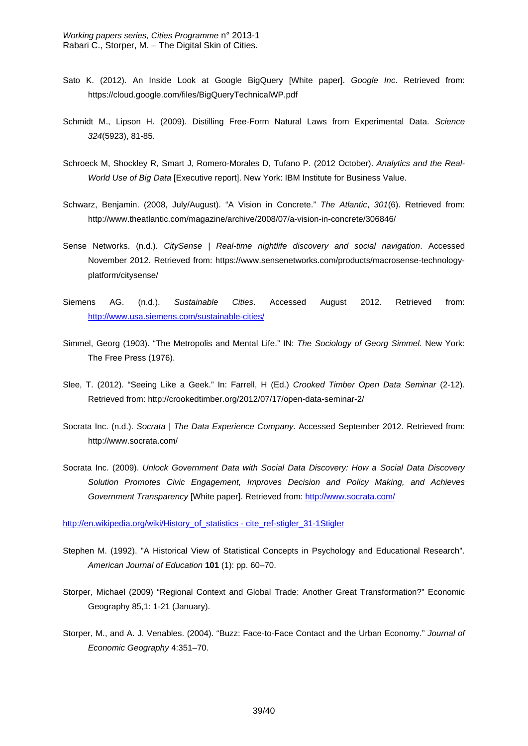- Sato K. (2012). An Inside Look at Google BigQuery [White paper]. *Google Inc*. Retrieved from: https://cloud.google.com/files/BigQueryTechnicalWP.pdf
- Schmidt M., Lipson H. (2009). Distilling Free*-*Form Natural Laws from Experimental Data. *Science 324*(5923), 81-85.
- Schroeck M, Shockley R, Smart J, Romero-Morales D, Tufano P. (2012 October). *Analytics and the Real-World Use of Big Data* [Executive report]. New York: IBM Institute for Business Value.
- Schwarz, Benjamin. (2008, July/August). "A Vision in Concrete." *The Atlantic*, *301*(6). Retrieved from: http://www.theatlantic.com/magazine/archive/2008/07/a-vision-in-concrete/306846/
- Sense Networks. (n.d.). *CitySense | Real-time nightlife discovery and social navigation*. Accessed November 2012. Retrieved from: https://www.sensenetworks.com/products/macrosense-technologyplatform/citysense/
- Siemens AG. (n.d.). *Sustainable Cities*. Accessed August 2012. Retrieved from: http://www.usa.siemens.com/sustainable-cities/
- Simmel, Georg (1903). "The Metropolis and Mental Life." IN: *The Sociology of Georg Simmel.* New York: The Free Press (1976).
- Slee, T. (2012). "Seeing Like a Geek." In: Farrell, H (Ed.) *Crooked Timber Open Data Seminar* (2-12). Retrieved from: http://crookedtimber.org/2012/07/17/open-data-seminar-2/
- Socrata Inc. (n.d.). *Socrata | The Data Experience Company*. Accessed September 2012. Retrieved from: http://www.socrata.com/
- Socrata Inc. (2009). *Unlock Government Data with Social Data Discovery: How a Social Data Discovery Solution Promotes Civic Engagement, Improves Decision and Policy Making, and Achieves Government Transparency* [White paper]. Retrieved from: http://www.socrata.com/

http://en.wikipedia.org/wiki/History\_of\_statistics - cite\_ref-stigler\_31-1Stigler

- Stephen M. (1992). "A Historical View of Statistical Concepts in Psychology and Educational Research". *American Journal of Education* **101** (1): pp. 60–70.
- Storper, Michael (2009) "Regional Context and Global Trade: Another Great Transformation?" Economic Geography 85,1: 1-21 (January).
- Storper, M., and A. J. Venables. (2004). "Buzz: Face-to-Face Contact and the Urban Economy." *Journal of Economic Geography* 4:351–70.